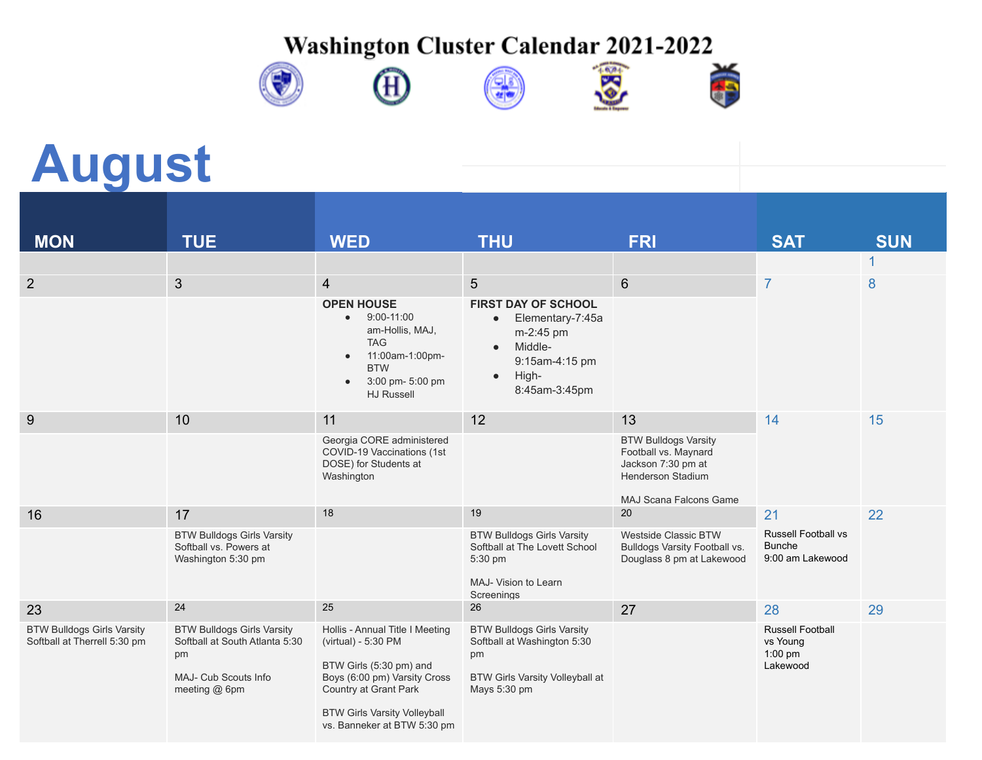









### **August**

| <b>MON</b>                                                        | <b>TUE</b>                                                                                                         | <b>WED</b>                                                                                                                                                                                                       | <b>THU</b>                                                                                                                                                | <b>FRI</b>                                                                                                                             | <b>SAT</b>                                                      | <b>SUN</b> |
|-------------------------------------------------------------------|--------------------------------------------------------------------------------------------------------------------|------------------------------------------------------------------------------------------------------------------------------------------------------------------------------------------------------------------|-----------------------------------------------------------------------------------------------------------------------------------------------------------|----------------------------------------------------------------------------------------------------------------------------------------|-----------------------------------------------------------------|------------|
|                                                                   |                                                                                                                    |                                                                                                                                                                                                                  |                                                                                                                                                           |                                                                                                                                        |                                                                 | 1          |
| $\overline{2}$                                                    | 3                                                                                                                  | $\overline{4}$                                                                                                                                                                                                   | 5                                                                                                                                                         | 6                                                                                                                                      | $\overline{7}$                                                  | 8          |
|                                                                   |                                                                                                                    | <b>OPEN HOUSE</b><br>$9:00 - 11:00$<br>$\bullet$<br>am-Hollis, MAJ,<br><b>TAG</b><br>11:00am-1:00pm-<br>$\bullet$<br><b>BTW</b><br>3:00 pm- 5:00 pm<br>$\bullet$<br><b>HJ Russell</b>                            | <b>FIRST DAY OF SCHOOL</b><br>Elementary-7:45a<br>$\bullet$<br>m-2:45 pm<br>Middle-<br>$\bullet$<br>9:15am-4:15 pm<br>High-<br>$\bullet$<br>8:45am-3:45pm |                                                                                                                                        |                                                                 |            |
| 9                                                                 | 10                                                                                                                 | 11                                                                                                                                                                                                               | 12                                                                                                                                                        | 13                                                                                                                                     | 14                                                              | 15         |
|                                                                   |                                                                                                                    | Georgia CORE administered<br>COVID-19 Vaccinations (1st<br>DOSE) for Students at<br>Washington                                                                                                                   |                                                                                                                                                           | <b>BTW Bulldogs Varsity</b><br>Football vs. Maynard<br>Jackson 7:30 pm at<br><b>Henderson Stadium</b><br><b>MAJ Scana Falcons Game</b> |                                                                 |            |
| 16                                                                | 17                                                                                                                 | 18                                                                                                                                                                                                               | 19                                                                                                                                                        | 20                                                                                                                                     | 21                                                              | 22         |
|                                                                   | <b>BTW Bulldogs Girls Varsity</b><br>Softball vs. Powers at<br>Washington 5:30 pm                                  |                                                                                                                                                                                                                  | <b>BTW Bulldogs Girls Varsity</b><br>Softball at The Lovett School<br>5:30 pm<br>MAJ- Vision to Learn<br>Screenings                                       | <b>Westside Classic BTW</b><br>Bulldogs Varsity Football vs.<br>Douglass 8 pm at Lakewood                                              | <b>Russell Football vs</b><br><b>Bunche</b><br>9:00 am Lakewood |            |
| 23                                                                | 24                                                                                                                 | 25                                                                                                                                                                                                               | 26                                                                                                                                                        | 27                                                                                                                                     | 28                                                              | 29         |
| <b>BTW Bulldogs Girls Varsity</b><br>Softball at Therrell 5:30 pm | <b>BTW Bulldogs Girls Varsity</b><br>Softball at South Atlanta 5:30<br>pm<br>MAJ- Cub Scouts Info<br>meeting @ 6pm | Hollis - Annual Title I Meeting<br>(virtual) - 5:30 PM<br>BTW Girls (5:30 pm) and<br>Boys (6:00 pm) Varsity Cross<br>Country at Grant Park<br><b>BTW Girls Varsity Volleyball</b><br>vs. Banneker at BTW 5:30 pm | <b>BTW Bulldogs Girls Varsity</b><br>Softball at Washington 5:30<br>pm<br>BTW Girls Varsity Volleyball at<br>Mays 5:30 pm                                 |                                                                                                                                        | <b>Russell Football</b><br>vs Young<br>$1:00$ pm<br>Lakewood    |            |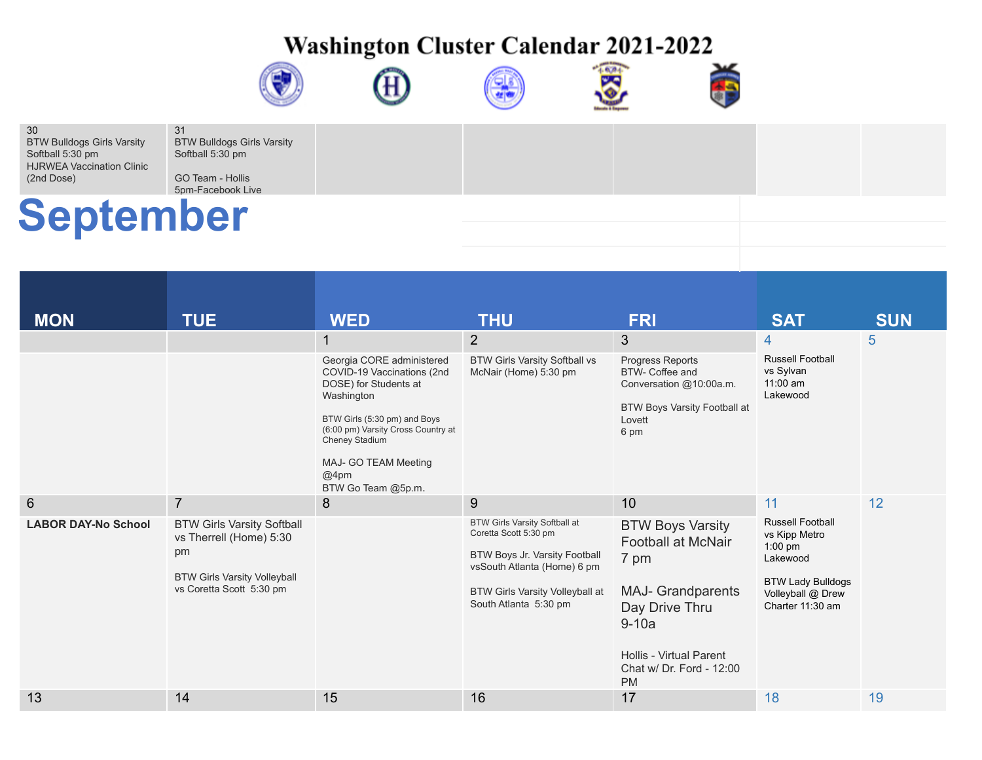









| 30                                |
|-----------------------------------|
| <b>BTW Bulldogs Girls Varsity</b> |
| Softball 5:30 pm                  |
| <b>HJRWEA Vaccination Clinic</b>  |
| (2nd Dose)                        |

31 BTW Bulldogs Girls Varsity Softball 5:30 pm

GO Team - Hollis 5pm-Facebook Live

### **September**

| <b>MON</b>                                    | <b>TUE</b>                                                                                                                                              | <b>WED</b>                                                                                                                                                                                                                                                            | <b>THU</b>                                                                                                                                                                                     | <b>FRI</b>                                                                                                                                                                                      | <b>SAT</b>                                                                                                                                   | <b>SUN</b> |
|-----------------------------------------------|---------------------------------------------------------------------------------------------------------------------------------------------------------|-----------------------------------------------------------------------------------------------------------------------------------------------------------------------------------------------------------------------------------------------------------------------|------------------------------------------------------------------------------------------------------------------------------------------------------------------------------------------------|-------------------------------------------------------------------------------------------------------------------------------------------------------------------------------------------------|----------------------------------------------------------------------------------------------------------------------------------------------|------------|
|                                               |                                                                                                                                                         | $\mathbf 1$<br>Georgia CORE administered<br>COVID-19 Vaccinations (2nd<br>DOSE) for Students at<br>Washington<br>BTW Girls (5:30 pm) and Boys<br>(6:00 pm) Varsity Cross Country at<br><b>Cheney Stadium</b><br>MAJ- GO TEAM Meeting<br>$@4$ pm<br>BTW Go Team @5p.m. | 2<br><b>BTW Girls Varsity Softball vs</b><br>McNair (Home) 5:30 pm                                                                                                                             | 3<br>Progress Reports<br>BTW- Coffee and<br>Conversation @10:00a.m.<br>BTW Boys Varsity Football at<br>Lovett<br>6 pm                                                                           | 4<br><b>Russell Football</b><br>vs Sylvan<br>11:00 am<br>Lakewood                                                                            | 5          |
| $6\phantom{1}6$<br><b>LABOR DAY-No School</b> | $\overline{7}$<br><b>BTW Girls Varsity Softball</b><br>vs Therrell (Home) 5:30<br>pm<br><b>BTW Girls Varsity Volleyball</b><br>vs Coretta Scott 5:30 pm | 8                                                                                                                                                                                                                                                                     | 9<br><b>BTW Girls Varsity Softball at</b><br>Coretta Scott 5:30 pm<br>BTW Boys Jr. Varsity Football<br>vsSouth Atlanta (Home) 6 pm<br>BTW Girls Varsity Volleyball at<br>South Atlanta 5:30 pm | 10<br><b>BTW Boys Varsity</b><br><b>Football at McNair</b><br>7 pm<br><b>MAJ- Grandparents</b><br>Day Drive Thru<br>$9-10a$<br>Hollis - Virtual Parent<br>Chat w/ Dr. Ford - 12:00<br><b>PM</b> | 11<br><b>Russell Football</b><br>vs Kipp Metro<br>$1:00$ pm<br>Lakewood<br><b>BTW Lady Bulldogs</b><br>Volleyball @ Drew<br>Charter 11:30 am | 12         |
| 13                                            | 14                                                                                                                                                      | 15                                                                                                                                                                                                                                                                    | 16                                                                                                                                                                                             | 17                                                                                                                                                                                              | 18                                                                                                                                           | 19         |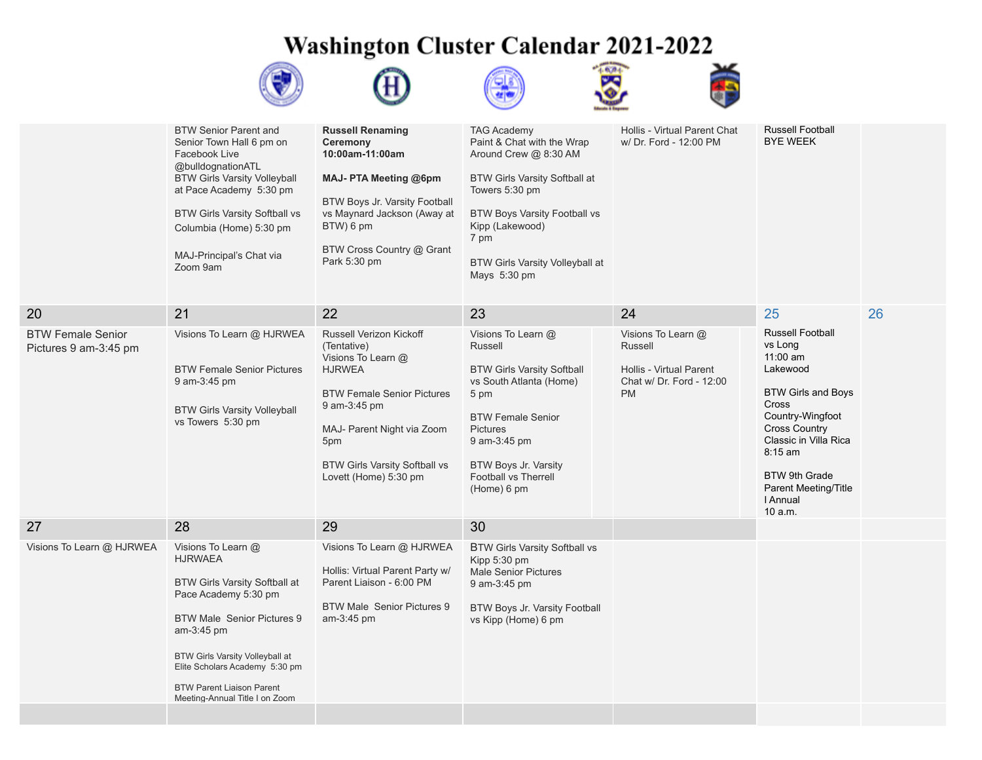







|                                                   | <b>BTW Senior Parent and</b><br>Senior Town Hall 6 pm on<br>Facebook Live<br>@bulldognationATL<br><b>BTW Girls Varsity Volleyball</b><br>at Pace Academy 5:30 pm<br><b>BTW Girls Varsity Softball vs</b><br>Columbia (Home) 5:30 pm<br>MAJ-Principal's Chat via<br>Zoom 9am                               | <b>Russell Renaming</b><br>Ceremony<br>10:00am-11:00am<br>MAJ- PTA Meeting @6pm<br>BTW Boys Jr. Varsity Football<br>vs Maynard Jackson (Away at<br>BTW) 6 pm<br>BTW Cross Country @ Grant<br>Park 5:30 pm                                | <b>TAG Academy</b><br>Paint & Chat with the Wrap<br>Around Crew @ 8:30 AM<br><b>BTW Girls Varsity Softball at</b><br>Towers 5:30 pm<br><b>BTW Boys Varsity Football vs</b><br>Kipp (Lakewood)<br>7 pm<br>BTW Girls Varsity Volleyball at<br>Mays $5:30 \text{ pm}$ | Hollis - Virtual Parent Chat<br>w/ Dr. Ford - 12:00 PM                                            | Russell Football<br><b>BYE WEEK</b>                                                                                                                                                                                                               |    |
|---------------------------------------------------|-----------------------------------------------------------------------------------------------------------------------------------------------------------------------------------------------------------------------------------------------------------------------------------------------------------|------------------------------------------------------------------------------------------------------------------------------------------------------------------------------------------------------------------------------------------|--------------------------------------------------------------------------------------------------------------------------------------------------------------------------------------------------------------------------------------------------------------------|---------------------------------------------------------------------------------------------------|---------------------------------------------------------------------------------------------------------------------------------------------------------------------------------------------------------------------------------------------------|----|
| 20                                                | 21                                                                                                                                                                                                                                                                                                        | 22                                                                                                                                                                                                                                       | 23                                                                                                                                                                                                                                                                 | 24                                                                                                | 25                                                                                                                                                                                                                                                | 26 |
| <b>BTW Female Senior</b><br>Pictures 9 am-3:45 pm | Visions To Learn @ HJRWEA<br><b>BTW Female Senior Pictures</b><br>9 am-3:45 pm<br><b>BTW Girls Varsity Volleyball</b><br>vs Towers 5:30 pm                                                                                                                                                                | Russell Verizon Kickoff<br>(Tentative)<br>Visions To Learn @<br><b>HJRWEA</b><br><b>BTW Female Senior Pictures</b><br>9 am-3:45 pm<br>MAJ- Parent Night via Zoom<br>5pm<br><b>BTW Girls Varsity Softball vs</b><br>Lovett (Home) 5:30 pm | Visions To Learn @<br>Russell<br><b>BTW Girls Varsity Softball</b><br>vs South Atlanta (Home)<br>5 pm<br><b>BTW Female Senior</b><br><b>Pictures</b><br>9 am-3:45 pm<br><b>BTW Boys Jr. Varsity</b><br><b>Football vs Therrell</b><br>(Home) 6 pm                  | Visions To Learn @<br>Russell<br>Hollis - Virtual Parent<br>Chat w/ Dr. Ford - 12:00<br><b>PM</b> | Russell Football<br>vs Long<br>11:00 am<br>Lakewood<br><b>BTW Girls and Boys</b><br>Cross<br>Country-Wingfoot<br><b>Cross Country</b><br>Classic in Villa Rica<br>$8:15$ am<br>BTW 9th Grade<br><b>Parent Meeting/Title</b><br>I Annual<br>10a.m. |    |
| 27                                                | 28                                                                                                                                                                                                                                                                                                        | 29                                                                                                                                                                                                                                       | 30                                                                                                                                                                                                                                                                 |                                                                                                   |                                                                                                                                                                                                                                                   |    |
| Visions To Learn @ HJRWEA                         | Visions To Learn @<br><b>HJRWAEA</b><br><b>BTW Girls Varsity Softball at</b><br>Pace Academy 5:30 pm<br><b>BTW Male Senior Pictures 9</b><br>am-3:45 pm<br><b>BTW Girls Varsity Volleyball at</b><br>Elite Scholars Academy 5:30 pm<br><b>BTW Parent Liaison Parent</b><br>Meeting-Annual Title I on Zoom | Visions To Learn @ HJRWEA<br>Hollis: Virtual Parent Party w/<br>Parent Liaison - 6:00 PM<br><b>BTW Male Senior Pictures 9</b><br>am-3:45 pm                                                                                              | <b>BTW Girls Varsity Softball vs</b><br>Kipp 5:30 pm<br><b>Male Senior Pictures</b><br>9 am-3:45 pm<br>BTW Boys Jr. Varsity Football<br>vs Kipp (Home) 6 pm                                                                                                        |                                                                                                   |                                                                                                                                                                                                                                                   |    |
|                                                   |                                                                                                                                                                                                                                                                                                           |                                                                                                                                                                                                                                          |                                                                                                                                                                                                                                                                    |                                                                                                   |                                                                                                                                                                                                                                                   |    |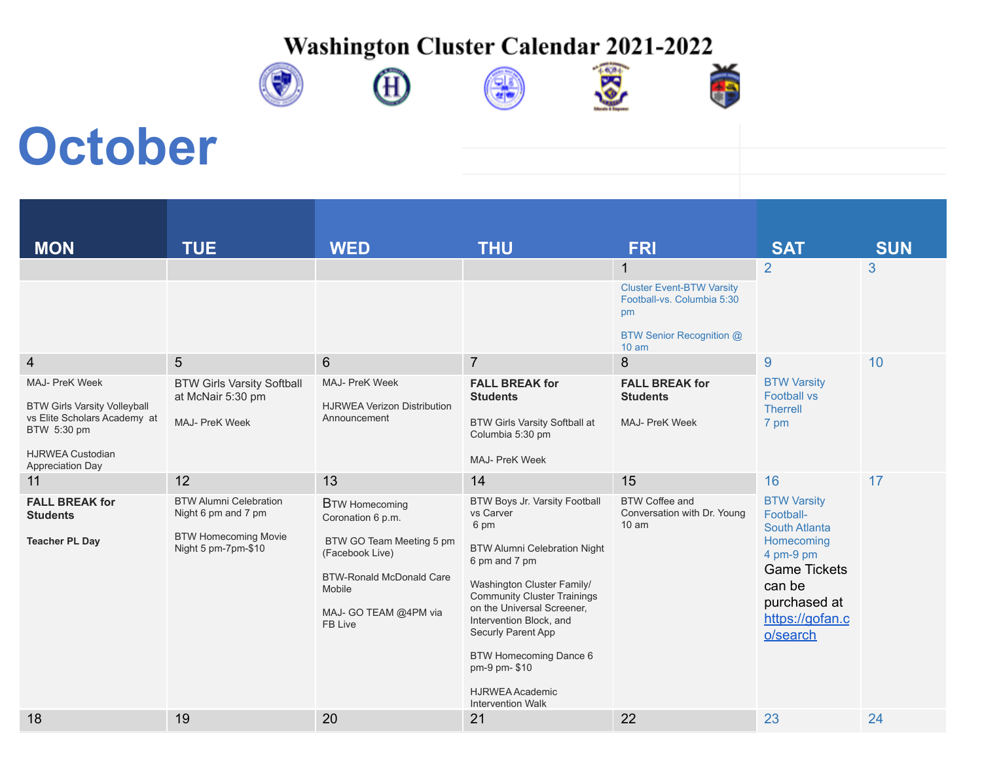









### **October**

| <b>MON</b>                                                                                                                                                        | <b>TUE</b>                                                                                                 | <b>WED</b>                                                                                                                                                                 | <b>THU</b>                                                                                                                                                                                                                                                                                                                                                    | <b>FRI</b>                                                                                                          | <b>SAT</b>                                                                                                                                                  | <b>SUN</b> |
|-------------------------------------------------------------------------------------------------------------------------------------------------------------------|------------------------------------------------------------------------------------------------------------|----------------------------------------------------------------------------------------------------------------------------------------------------------------------------|---------------------------------------------------------------------------------------------------------------------------------------------------------------------------------------------------------------------------------------------------------------------------------------------------------------------------------------------------------------|---------------------------------------------------------------------------------------------------------------------|-------------------------------------------------------------------------------------------------------------------------------------------------------------|------------|
|                                                                                                                                                                   |                                                                                                            |                                                                                                                                                                            |                                                                                                                                                                                                                                                                                                                                                               | 1                                                                                                                   | $\overline{2}$                                                                                                                                              | 3          |
|                                                                                                                                                                   |                                                                                                            |                                                                                                                                                                            |                                                                                                                                                                                                                                                                                                                                                               | <b>Cluster Event-BTW Varsity</b><br>Football-vs. Columbia 5:30<br>pm<br>BTW Senior Recognition @<br>$10 \text{ am}$ |                                                                                                                                                             |            |
| $\overline{4}$                                                                                                                                                    | $5\overline{)}$                                                                                            | 6                                                                                                                                                                          | $\overline{7}$                                                                                                                                                                                                                                                                                                                                                | 8                                                                                                                   | 9                                                                                                                                                           | 10         |
| <b>MAJ- PreK Week</b><br><b>BTW Girls Varsity Volleyball</b><br>vs Elite Scholars Academy at<br>BTW 5:30 pm<br><b>HJRWEA Custodian</b><br><b>Appreciation Day</b> | <b>BTW Girls Varsity Softball</b><br>at McNair 5:30 pm<br><b>MAJ- PreK Week</b>                            | <b>MAJ- PreK Week</b><br><b>HJRWEA Verizon Distribution</b><br>Announcement                                                                                                | <b>FALL BREAK for</b><br><b>Students</b><br><b>BTW Girls Varsity Softball at</b><br>Columbia 5:30 pm<br><b>MAJ- PreK Week</b>                                                                                                                                                                                                                                 | <b>FALL BREAK for</b><br><b>Students</b><br><b>MAJ- PreK Week</b>                                                   | <b>BTW Varsity</b><br><b>Football vs</b><br><b>Therrell</b><br>7 pm                                                                                         |            |
| 11                                                                                                                                                                | 12                                                                                                         | 13                                                                                                                                                                         | 14                                                                                                                                                                                                                                                                                                                                                            | 15                                                                                                                  | 16                                                                                                                                                          | 17         |
| <b>FALL BREAK for</b><br><b>Students</b><br><b>Teacher PL Day</b>                                                                                                 | <b>BTW Alumni Celebration</b><br>Night 6 pm and 7 pm<br><b>BTW Homecoming Movie</b><br>Night 5 pm-7pm-\$10 | <b>BTW Homecoming</b><br>Coronation 6 p.m.<br>BTW GO Team Meeting 5 pm<br>(Facebook Live)<br><b>BTW-Ronald McDonald Care</b><br>Mobile<br>MAJ- GO TEAM @4PM via<br>FB Live | BTW Boys Jr. Varsity Football<br>vs Carver<br>6 pm<br><b>BTW Alumni Celebration Night</b><br>6 pm and 7 pm<br>Washington Cluster Family/<br><b>Community Cluster Trainings</b><br>on the Universal Screener.<br>Intervention Block, and<br>Securly Parent App<br>BTW Homecoming Dance 6<br>pm-9 pm-\$10<br><b>HJRWEA Academic</b><br><b>Intervention Walk</b> | <b>BTW Coffee and</b><br>Conversation with Dr. Young<br>10 <sub>am</sub>                                            | <b>BTW Varsity</b><br>Football-<br>South Atlanta<br>Homecoming<br>4 pm-9 pm<br><b>Game Tickets</b><br>can be<br>purchased at<br>https://gofan.c<br>o/search |            |
| 18                                                                                                                                                                | 19                                                                                                         | 20                                                                                                                                                                         | 21                                                                                                                                                                                                                                                                                                                                                            | 22                                                                                                                  | 23                                                                                                                                                          | 24         |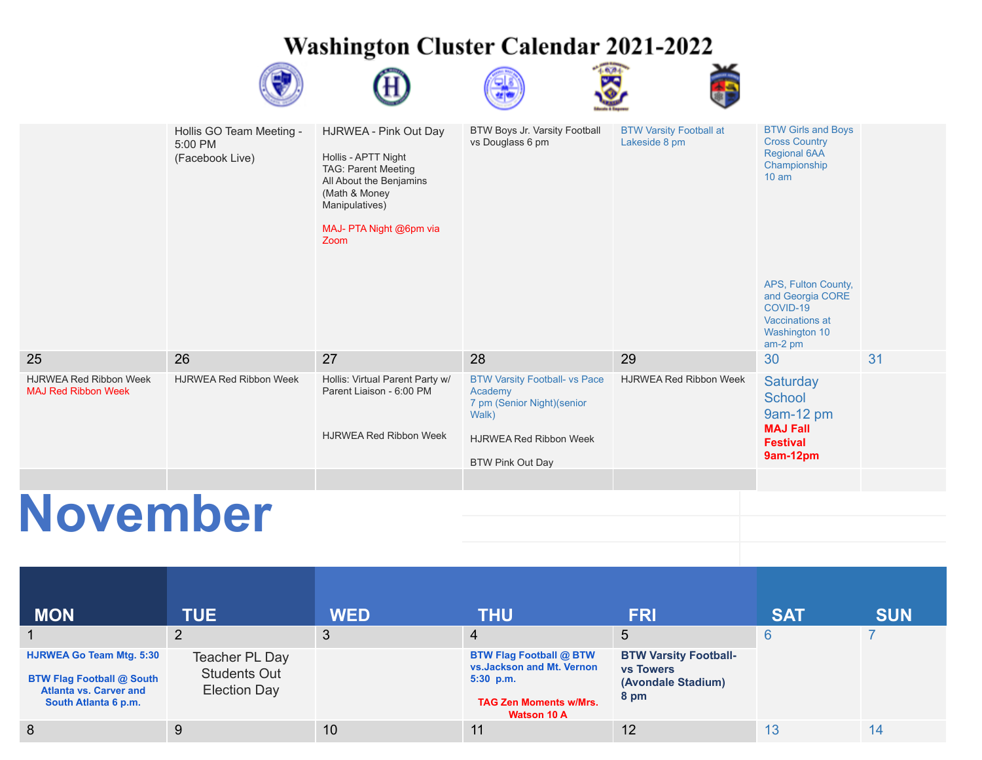|                                                             | Hollis GO Team Meeting -<br>5:00 PM<br>(Facebook Live) | HJRWEA - Pink Out Day<br>Hollis - APTT Night<br>TAG: Parent Meeting<br>All About the Benjamins<br>(Math & Money<br>Manipulatives)<br>MAJ- PTA Night @6pm via<br>Zoom | BTW Boys Jr. Varsity Football<br>vs Douglass 6 pm                                                                                                  | <b>BTW Varsity Football at</b><br>Lakeside 8 pm | <b>BTW Girls and Boys</b><br><b>Cross Country</b><br><b>Regional 6AA</b><br>Championship<br>$10 \text{ am}$<br>APS, Fulton County,<br>and Georgia CORE<br>COVID-19<br>Vaccinations at<br>Washington 10<br>am-2 pm |    |
|-------------------------------------------------------------|--------------------------------------------------------|----------------------------------------------------------------------------------------------------------------------------------------------------------------------|----------------------------------------------------------------------------------------------------------------------------------------------------|-------------------------------------------------|-------------------------------------------------------------------------------------------------------------------------------------------------------------------------------------------------------------------|----|
| 25                                                          | 26                                                     | 27                                                                                                                                                                   | 28                                                                                                                                                 | 29                                              | 30                                                                                                                                                                                                                | 31 |
| <b>HJRWEA Red Ribbon Week</b><br><b>MAJ Red Ribbon Week</b> | <b>HJRWEA Red Ribbon Week</b>                          | Hollis: Virtual Parent Party w/<br>Parent Liaison - 6:00 PM<br><b>HJRWEA Red Ribbon Week</b>                                                                         | <b>BTW Varsity Football- vs Pace</b><br>Academy<br>7 pm (Senior Night)(senior<br>Walk)<br><b>HJRWEA Red Ribbon Week</b><br><b>BTW Pink Out Day</b> | <b>HJRWEA Red Ribbon Week</b>                   | Saturday<br><b>School</b><br>9am-12 pm<br><b>MAJ Fall</b><br><b>Festival</b><br>9am-12pm                                                                                                                          |    |
|                                                             |                                                        |                                                                                                                                                                      |                                                                                                                                                    |                                                 |                                                                                                                                                                                                                   |    |
| November                                                    |                                                        |                                                                                                                                                                      |                                                                                                                                                    |                                                 |                                                                                                                                                                                                                   |    |

| <b>MON</b>                                                                                                                   | <b>TUE</b>                                                   | <b>WED</b><br>3 | THU                                                                                                                                | <b>FRI</b><br>5                                                                | <b>SAT</b><br>6 | <b>SUN</b> |
|------------------------------------------------------------------------------------------------------------------------------|--------------------------------------------------------------|-----------------|------------------------------------------------------------------------------------------------------------------------------------|--------------------------------------------------------------------------------|-----------------|------------|
| <b>HJRWEA Go Team Mtg. 5:30</b><br><b>BTW Flag Football @ South</b><br><b>Atlanta vs. Carver and</b><br>South Atlanta 6 p.m. | Teacher PL Day<br><b>Students Out</b><br><b>Election Day</b> |                 | <b>BTW Flag Football @ BTW</b><br>vs. Jackson and Mt. Vernon<br>$5:30$ p.m.<br><b>TAG Zen Moments w/Mrs.</b><br><b>Watson 10 A</b> | <b>BTW Varsity Football-</b><br><b>vs Towers</b><br>(Avondale Stadium)<br>8 pm |                 |            |
| 8                                                                                                                            | 9                                                            | 10              | 11                                                                                                                                 | 12                                                                             | 13              | 14         |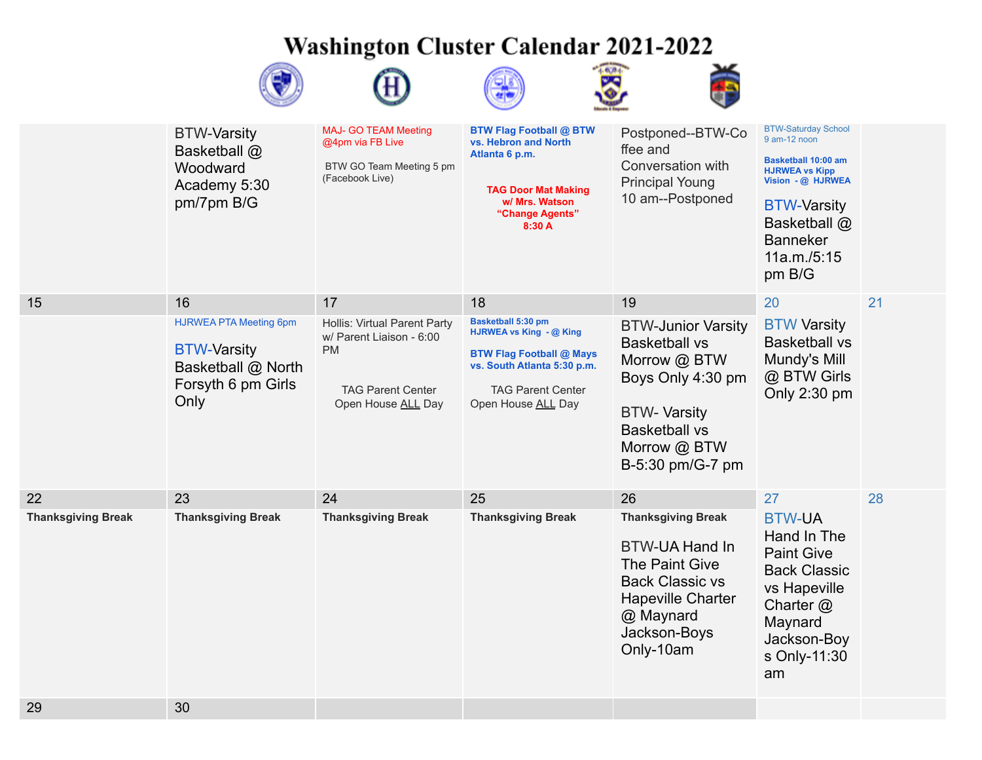|                                 | <b>BTW-Varsity</b><br>Basketball @<br>Woodward<br>Academy 5:30<br>pm/7pm B/G                                  | <b>MAJ- GO TEAM Meeting</b><br>@4pm via FB Live<br>BTW GO Team Meeting 5 pm<br>(Facebook Live)                                       | <b>BTW Flag Football @ BTW</b><br>vs. Hebron and North<br>Atlanta 6 p.m.<br><b>TAG Door Mat Making</b><br>w/ Mrs. Watson<br>"Change Agents"<br>8:30 A                          | Postponed--BTW-Co<br>ffee and<br>Conversation with<br><b>Principal Young</b><br>10 am--Postponed                                                                                | <b>BTW-Saturday School</b><br>$9$ am-12 noon<br><b>Basketball 10:00 am</b><br><b>HJRWEA vs Kipp</b><br>Vision - @ HJRWEA<br><b>BTW-Varsity</b><br>Basketball @<br><b>Banneker</b><br>11a.m./5:15<br>pm B/G |    |
|---------------------------------|---------------------------------------------------------------------------------------------------------------|--------------------------------------------------------------------------------------------------------------------------------------|--------------------------------------------------------------------------------------------------------------------------------------------------------------------------------|---------------------------------------------------------------------------------------------------------------------------------------------------------------------------------|------------------------------------------------------------------------------------------------------------------------------------------------------------------------------------------------------------|----|
| 15                              | 16<br><b>HJRWEA PTA Meeting 6pm</b><br><b>BTW-Varsity</b><br>Basketball @ North<br>Forsyth 6 pm Girls<br>Only | 17<br><b>Hollis: Virtual Parent Party</b><br>w/ Parent Liaison - 6:00<br><b>PM</b><br><b>TAG Parent Center</b><br>Open House ALL Day | 18<br><b>Basketball 5:30 pm</b><br>HJRWEA vs King - @ King<br><b>BTW Flag Football @ Mays</b><br>vs. South Atlanta 5:30 p.m.<br><b>TAG Parent Center</b><br>Open House ALL Day | 19<br><b>BTW-Junior Varsity</b><br><b>Basketball vs</b><br>Morrow @ BTW<br>Boys Only 4:30 pm<br><b>BTW- Varsity</b><br><b>Basketball vs</b><br>Morrow @ BTW<br>B-5:30 pm/G-7 pm | 20<br><b>BTW Varsity</b><br><b>Basketball vs</b><br>Mundy's Mill<br>@ BTW Girls<br>Only 2:30 pm                                                                                                            | 21 |
| 22<br><b>Thanksgiving Break</b> | 23<br><b>Thanksgiving Break</b>                                                                               | 24<br><b>Thanksgiving Break</b>                                                                                                      | 25<br><b>Thanksgiving Break</b>                                                                                                                                                | 26<br><b>Thanksgiving Break</b><br><b>BTW-UA Hand In</b><br>The Paint Give<br><b>Back Classic vs</b><br><b>Hapeville Charter</b><br>@ Maynard<br>Jackson-Boys<br>Only-10am      | 27<br><b>BTW-UA</b><br>Hand In The<br><b>Paint Give</b><br><b>Back Classic</b><br>vs Hapeville<br>Charter $@$<br>Maynard<br>Jackson-Boy<br>s Only-11:30<br>am                                              | 28 |
| 29                              | 30                                                                                                            |                                                                                                                                      |                                                                                                                                                                                |                                                                                                                                                                                 |                                                                                                                                                                                                            |    |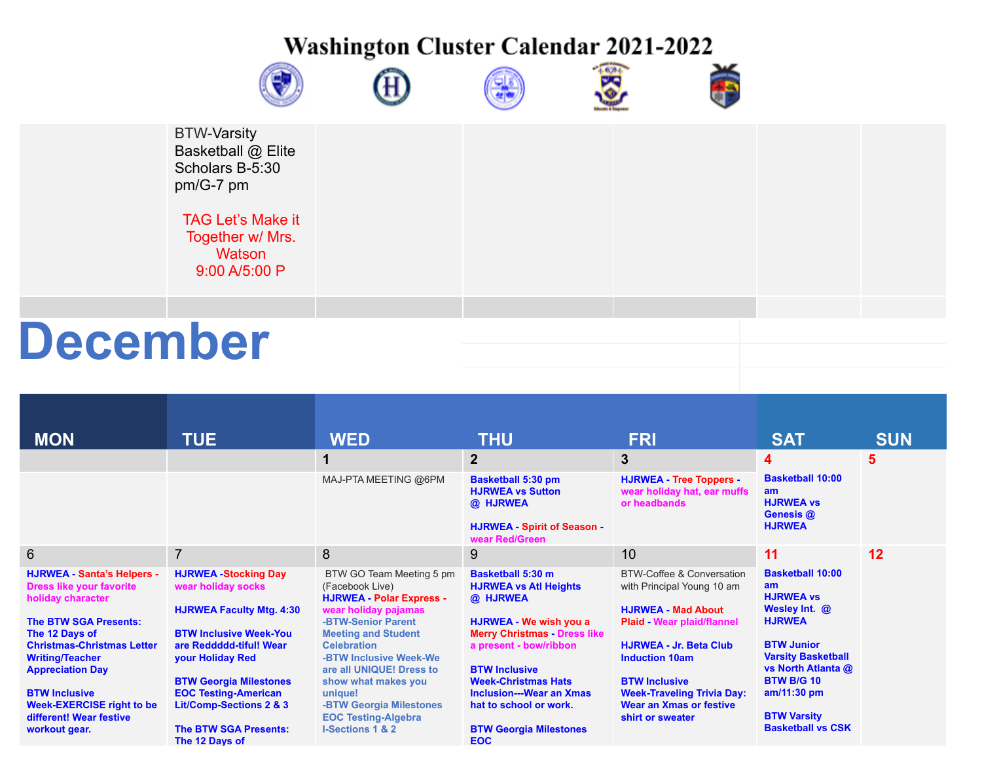









BTW-Varsity Basketball @ Elite Scholars B-5:30 pm/G-7 pm TAG Let's Make it Together w/ Mrs. **Watson** 9:00 A/5:00 P **December**

| <b>MON</b>                                                                                                                                                                                                                                                                                                                                    | <b>TUE</b>                                                                                                                                                                                                                                                                                                                   | <b>WED</b>                                                                                                                                                                                                                                                                                                                                                       | <b>THU</b>                                                                                                                                                                                                                                                                                                                        | <b>FRI</b>                                                                                                                                                                                                                                                                               | <b>SAT</b>                                                                                                                                                                                                                                          | <b>SUN</b> |
|-----------------------------------------------------------------------------------------------------------------------------------------------------------------------------------------------------------------------------------------------------------------------------------------------------------------------------------------------|------------------------------------------------------------------------------------------------------------------------------------------------------------------------------------------------------------------------------------------------------------------------------------------------------------------------------|------------------------------------------------------------------------------------------------------------------------------------------------------------------------------------------------------------------------------------------------------------------------------------------------------------------------------------------------------------------|-----------------------------------------------------------------------------------------------------------------------------------------------------------------------------------------------------------------------------------------------------------------------------------------------------------------------------------|------------------------------------------------------------------------------------------------------------------------------------------------------------------------------------------------------------------------------------------------------------------------------------------|-----------------------------------------------------------------------------------------------------------------------------------------------------------------------------------------------------------------------------------------------------|------------|
|                                                                                                                                                                                                                                                                                                                                               |                                                                                                                                                                                                                                                                                                                              |                                                                                                                                                                                                                                                                                                                                                                  | $\overline{2}$                                                                                                                                                                                                                                                                                                                    | $\overline{3}$                                                                                                                                                                                                                                                                           | 4                                                                                                                                                                                                                                                   | 5          |
|                                                                                                                                                                                                                                                                                                                                               |                                                                                                                                                                                                                                                                                                                              | MAJ-PTA MEETING @6PM                                                                                                                                                                                                                                                                                                                                             | <b>Basketball 5:30 pm</b><br><b>HJRWEA vs Sutton</b><br>@ HJRWEA<br><b>HJRWEA - Spirit of Season -</b><br>wear Red/Green                                                                                                                                                                                                          | <b>HJRWEA - Tree Toppers -</b><br>wear holiday hat, ear muffs<br>or headbands                                                                                                                                                                                                            | <b>Basketball 10:00</b><br>am<br><b>HJRWEA vs</b><br>Genesis @<br><b>HJRWEA</b>                                                                                                                                                                     |            |
| $6 \,$                                                                                                                                                                                                                                                                                                                                        | $\overline{7}$                                                                                                                                                                                                                                                                                                               | 8                                                                                                                                                                                                                                                                                                                                                                | 9                                                                                                                                                                                                                                                                                                                                 | 10                                                                                                                                                                                                                                                                                       | 11                                                                                                                                                                                                                                                  | 12         |
| <b>HJRWEA - Santa's Helpers -</b><br><b>Dress like your favorite</b><br>holiday character<br><b>The BTW SGA Presents:</b><br>The 12 Days of<br><b>Christmas-Christmas Letter</b><br><b>Writing/Teacher</b><br><b>Appreciation Day</b><br><b>BTW Inclusive</b><br><b>Week-EXERCISE right to be</b><br>different! Wear festive<br>workout gear. | <b>HJRWEA -Stocking Day</b><br>wear holiday socks<br><b>HJRWEA Faculty Mtg. 4:30</b><br><b>BTW Inclusive Week-You</b><br>are Reddddd-tiful! Wear<br>your Holiday Red<br><b>BTW Georgia Milestones</b><br><b>EOC Testing-American</b><br><b>Lit/Comp-Sections 2 &amp; 3</b><br><b>The BTW SGA Presents:</b><br>The 12 Days of | BTW GO Team Meeting 5 pm<br>(Facebook Live)<br><b>HJRWEA - Polar Express -</b><br>wear holiday pajamas<br>-BTW-Senior Parent<br><b>Meeting and Student</b><br><b>Celebration</b><br>-BTW Inclusive Week-We<br>are all UNIQUE! Dress to<br>show what makes you<br>unique!<br>-BTW Georgia Milestones<br><b>EOC Testing-Algebra</b><br><b>I-Sections 1 &amp; 2</b> | <b>Basketball 5:30 m</b><br><b>HJRWEA vs Atl Heights</b><br>@ HJRWEA<br>HJRWEA - We wish you a<br><b>Merry Christmas - Dress like</b><br>a present - bow/ribbon<br><b>BTW Inclusive</b><br><b>Week-Christmas Hats</b><br><b>Inclusion---Wear an Xmas</b><br>hat to school or work.<br><b>BTW Georgia Milestones</b><br><b>EOC</b> | BTW-Coffee & Conversation<br>with Principal Young 10 am<br><b>HJRWEA - Mad About</b><br>Plaid - Wear plaid/flannel<br><b>HJRWEA - Jr. Beta Club</b><br><b>Induction 10am</b><br><b>BTW Inclusive</b><br><b>Week-Traveling Trivia Day:</b><br>Wear an Xmas or festive<br>shirt or sweater | <b>Basketball 10:00</b><br>am<br><b>HJRWEA vs</b><br>Wesley Int. @<br><b>HJRWEA</b><br><b>BTW Junior</b><br><b>Varsity Basketball</b><br>vs North Atlanta @<br><b>BTW B/G 10</b><br>$am/11:30$ pm<br><b>BTW Varsity</b><br><b>Basketball vs CSK</b> |            |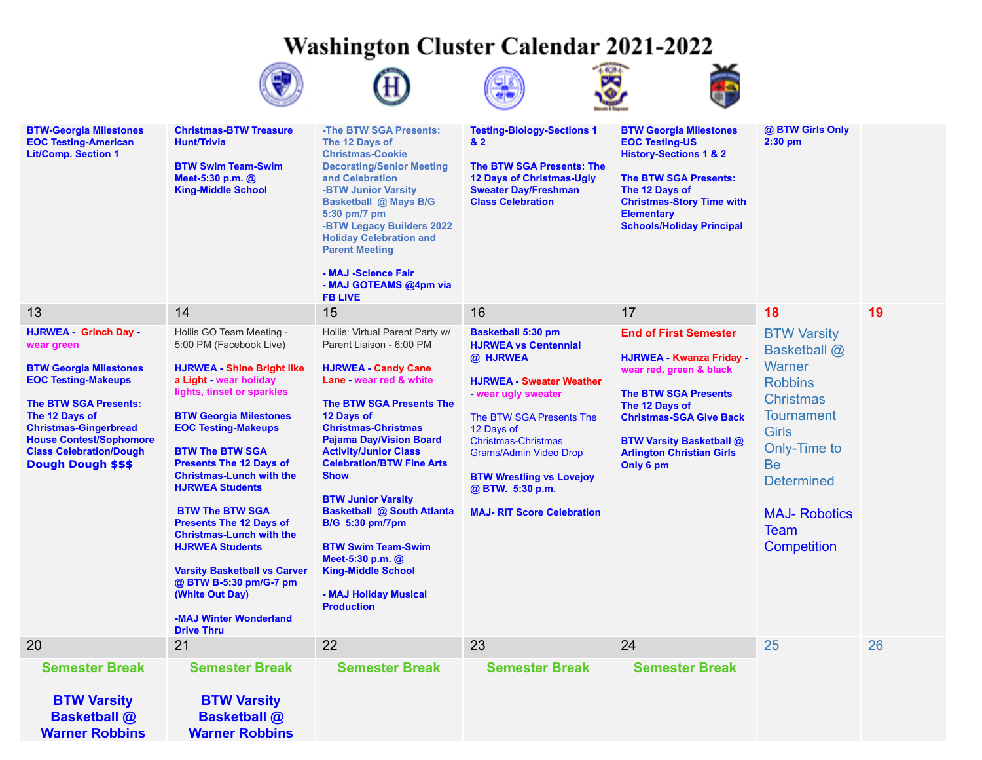







| <b>BTW-Georgia Milestones</b><br><b>EOC Testing-American</b><br><b>Lit/Comp. Section 1</b>                                                                                                                                                                                            | <b>Christmas-BTW Treasure</b><br><b>Hunt/Trivia</b><br><b>BTW Swim Team-Swim</b><br>Meet-5:30 p.m. @<br><b>King-Middle School</b>                                                                                                                                                                                                                                                                                                                                                                                                                                                                    | -The BTW SGA Presents:<br>The 12 Days of<br><b>Christmas-Cookie</b><br><b>Decorating/Senior Meeting</b><br>and Celebration<br>-BTW Junior Varsity<br><b>Basketball @ Mays B/G</b><br>5:30 pm/7 pm<br>-BTW Legacy Builders 2022<br><b>Holiday Celebration and</b><br><b>Parent Meeting</b><br>- MAJ -Science Fair<br>- MAJ GOTEAMS @4pm via<br><b>FB LIVE</b>                                                                                                                                                                                     | <b>Testing-Biology-Sections 1</b><br>82<br><b>The BTW SGA Presents: The</b><br><b>12 Days of Christmas-Ugly</b><br><b>Sweater Day/Freshman</b><br><b>Class Celebration</b>                                                                                                                                                         | <b>BTW Georgia Milestones</b><br><b>EOC Testing-US</b><br><b>History-Sections 1 &amp; 2</b><br><b>The BTW SGA Presents:</b><br>The 12 Days of<br><b>Christmas-Story Time with</b><br><b>Elementary</b><br><b>Schools/Holiday Principal</b>                        | @ BTW Girls Only<br>$2:30$ pm                                                                                                                                                                                                   |    |
|---------------------------------------------------------------------------------------------------------------------------------------------------------------------------------------------------------------------------------------------------------------------------------------|------------------------------------------------------------------------------------------------------------------------------------------------------------------------------------------------------------------------------------------------------------------------------------------------------------------------------------------------------------------------------------------------------------------------------------------------------------------------------------------------------------------------------------------------------------------------------------------------------|--------------------------------------------------------------------------------------------------------------------------------------------------------------------------------------------------------------------------------------------------------------------------------------------------------------------------------------------------------------------------------------------------------------------------------------------------------------------------------------------------------------------------------------------------|------------------------------------------------------------------------------------------------------------------------------------------------------------------------------------------------------------------------------------------------------------------------------------------------------------------------------------|-------------------------------------------------------------------------------------------------------------------------------------------------------------------------------------------------------------------------------------------------------------------|---------------------------------------------------------------------------------------------------------------------------------------------------------------------------------------------------------------------------------|----|
| 13                                                                                                                                                                                                                                                                                    | 14                                                                                                                                                                                                                                                                                                                                                                                                                                                                                                                                                                                                   | 15                                                                                                                                                                                                                                                                                                                                                                                                                                                                                                                                               | 16                                                                                                                                                                                                                                                                                                                                 | 17                                                                                                                                                                                                                                                                | 18                                                                                                                                                                                                                              | 19 |
| <b>HJRWEA - Grinch Day -</b><br>wear green<br><b>BTW Georgia Milestones</b><br><b>EOC Testing-Makeups</b><br><b>The BTW SGA Presents:</b><br>The 12 Days of<br><b>Christmas-Gingerbread</b><br><b>House Contest/Sophomore</b><br><b>Class Celebration/Dough</b><br>Dough Dough \$\$\$ | Hollis GO Team Meeting -<br>5:00 PM (Facebook Live)<br><b>HJRWEA - Shine Bright like</b><br>a Light - wear holiday<br>lights, tinsel or sparkles<br><b>BTW Georgia Milestones</b><br><b>EOC Testing-Makeups</b><br><b>BTW The BTW SGA</b><br><b>Presents The 12 Days of</b><br><b>Christmas-Lunch with the</b><br><b>HJRWEA Students</b><br><b>BTW The BTW SGA</b><br><b>Presents The 12 Days of</b><br><b>Christmas-Lunch with the</b><br><b>HJRWEA Students</b><br><b>Varsity Basketball vs Carver</b><br>@ BTW B-5:30 pm/G-7 pm<br>(White Out Day)<br>-MAJ Winter Wonderland<br><b>Drive Thru</b> | Hollis: Virtual Parent Party w/<br>Parent Liaison - 6:00 PM<br><b>HJRWEA - Candy Cane</b><br>Lane - wear red & white<br><b>The BTW SGA Presents The</b><br>12 Days of<br><b>Christmas-Christmas</b><br><b>Pajama Day/Vision Board</b><br><b>Activity/Junior Class</b><br><b>Celebration/BTW Fine Arts</b><br><b>Show</b><br><b>BTW Junior Varsity</b><br><b>Basketball @ South Atlanta</b><br><b>B/G 5:30 pm/7pm</b><br><b>BTW Swim Team-Swim</b><br>Meet-5:30 p.m. @<br><b>King-Middle School</b><br>- MAJ Holiday Musical<br><b>Production</b> | <b>Basketball 5:30 pm</b><br><b>HJRWEA vs Centennial</b><br>@ HJRWEA<br><b>HJRWEA - Sweater Weather</b><br>- wear ugly sweater<br>The BTW SGA Presents The<br>12 Days of<br><b>Christmas-Christmas</b><br><b>Grams/Admin Video Drop</b><br><b>BTW Wrestling vs Lovejoy</b><br>@ BTW. 5:30 p.m.<br><b>MAJ-RIT Score Celebration</b> | <b>End of First Semester</b><br><b>HJRWEA - Kwanza Friday -</b><br>wear red, green & black<br><b>The BTW SGA Presents</b><br>The 12 Days of<br><b>Christmas-SGA Give Back</b><br><b>BTW Varsity Basketball @</b><br><b>Arlington Christian Girls</b><br>Only 6 pm | <b>BTW Varsity</b><br>Basketball @<br>Warner<br><b>Robbins</b><br><b>Christmas</b><br><b>Tournament</b><br><b>Girls</b><br>Only-Time to<br>Be<br><b>Determined</b><br><b>MAJ- Robotics</b><br><b>Team</b><br><b>Competition</b> |    |
| 20                                                                                                                                                                                                                                                                                    | 21                                                                                                                                                                                                                                                                                                                                                                                                                                                                                                                                                                                                   | 22                                                                                                                                                                                                                                                                                                                                                                                                                                                                                                                                               | 23                                                                                                                                                                                                                                                                                                                                 | 24                                                                                                                                                                                                                                                                | 25                                                                                                                                                                                                                              | 26 |
| <b>Semester Break</b><br><b>BTW Varsity</b><br><b>Basketball @</b><br><b>Warner Robbins</b>                                                                                                                                                                                           | <b>Semester Break</b><br><b>BTW Varsity</b><br><b>Basketball @</b><br><b>Warner Robbins</b>                                                                                                                                                                                                                                                                                                                                                                                                                                                                                                          | <b>Semester Break</b>                                                                                                                                                                                                                                                                                                                                                                                                                                                                                                                            | <b>Semester Break</b>                                                                                                                                                                                                                                                                                                              | <b>Semester Break</b>                                                                                                                                                                                                                                             |                                                                                                                                                                                                                                 |    |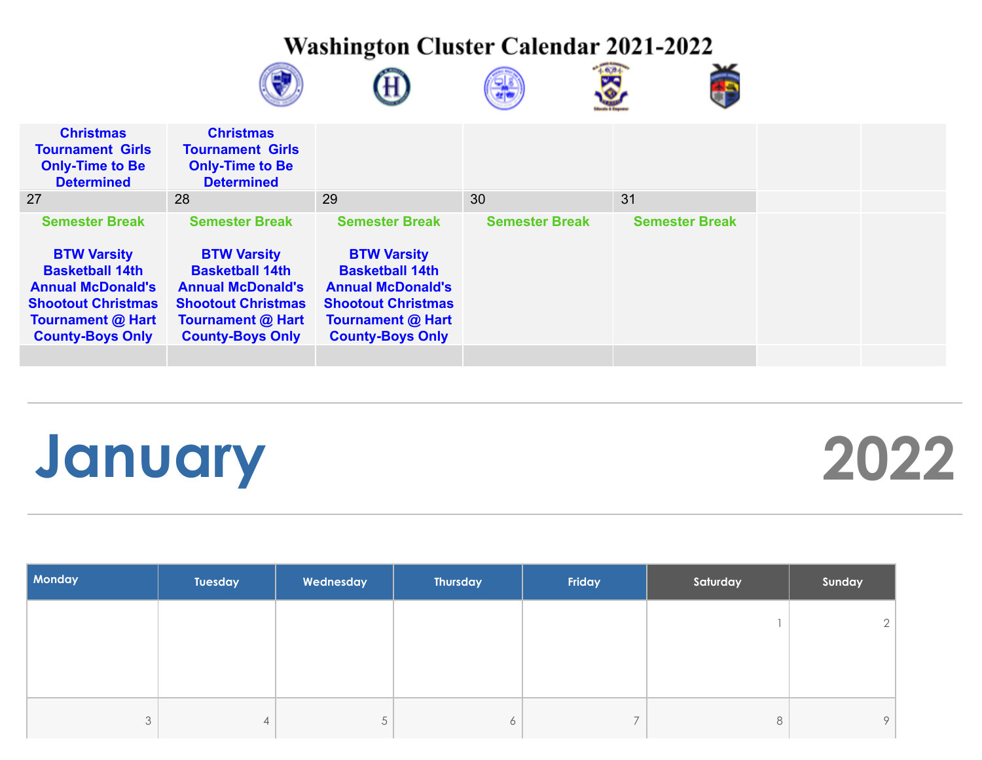









| <b>Tournament Girls</b><br><b>Only-Time to Be</b><br><b>Determined</b>                                                                                                                | <b>Tournament Girls</b><br><b>Only-Time to Be</b><br><b>Determined</b>                                                                                                                |                                                                                                                                                                                       |                       |                       |  |
|---------------------------------------------------------------------------------------------------------------------------------------------------------------------------------------|---------------------------------------------------------------------------------------------------------------------------------------------------------------------------------------|---------------------------------------------------------------------------------------------------------------------------------------------------------------------------------------|-----------------------|-----------------------|--|
| 27                                                                                                                                                                                    | 28                                                                                                                                                                                    | 29                                                                                                                                                                                    | 30                    | 31                    |  |
| <b>Semester Break</b><br><b>BTW Varsity</b><br><b>Basketball 14th</b><br><b>Annual McDonald's</b><br><b>Shootout Christmas</b><br><b>Tournament @ Hart</b><br><b>County-Boys Only</b> | <b>Semester Break</b><br><b>BTW Varsity</b><br><b>Basketball 14th</b><br><b>Annual McDonald's</b><br><b>Shootout Christmas</b><br><b>Tournament @ Hart</b><br><b>County-Boys Only</b> | <b>Semester Break</b><br><b>BTW Varsity</b><br><b>Basketball 14th</b><br><b>Annual McDonald's</b><br><b>Shootout Christmas</b><br><b>Tournament @ Hart</b><br><b>County-Boys Only</b> | <b>Semester Break</b> | <b>Semester Break</b> |  |

### **January 2022**

| <b>Monday</b> | Tuesday | Wednesday           | Thursday | Friday         | Saturday | Sunday  |
|---------------|---------|---------------------|----------|----------------|----------|---------|
|               |         |                     |          |                |          |         |
|               |         |                     |          |                |          |         |
|               |         |                     |          |                |          |         |
| 3             | 4       | $\overline{a}$<br>5 | $\circ$  | $\overline{7}$ | 8        | $\circ$ |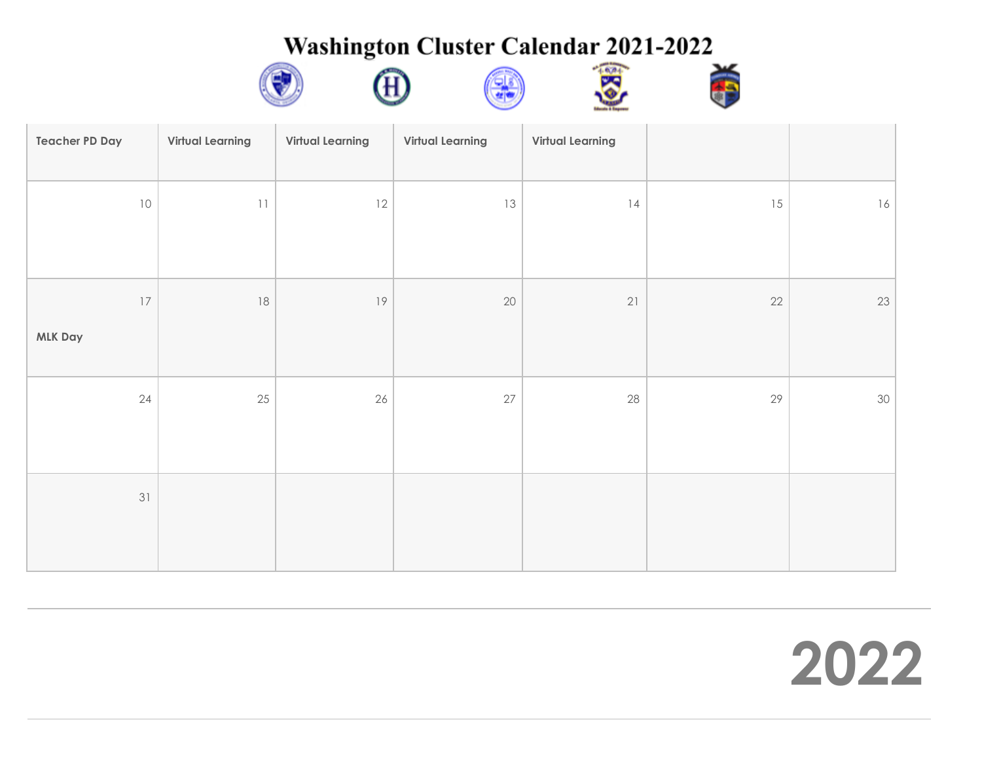









| Teacher PD Day    | <b>Virtual Learning</b>          | <b>Virtual Learning</b> | <b>Virtual Learning</b> | <b>Virtual Learning</b> |        |    |
|-------------------|----------------------------------|-------------------------|-------------------------|-------------------------|--------|----|
| $10\,$            | $\ensuremath{\mathsf{1}}\xspace$ | 12                      | $13\,$                  | 4                       | $15\,$ | 16 |
| $17\,$<br>MLK Day | $18\,$                           | 19                      | $20\,$                  | $21$                    | $22\,$ | 23 |
| 24                | 25                               | $26\,$                  | $27\,$                  | 28                      | 29     | 30 |
| 31                |                                  |                         |                         |                         |        |    |

##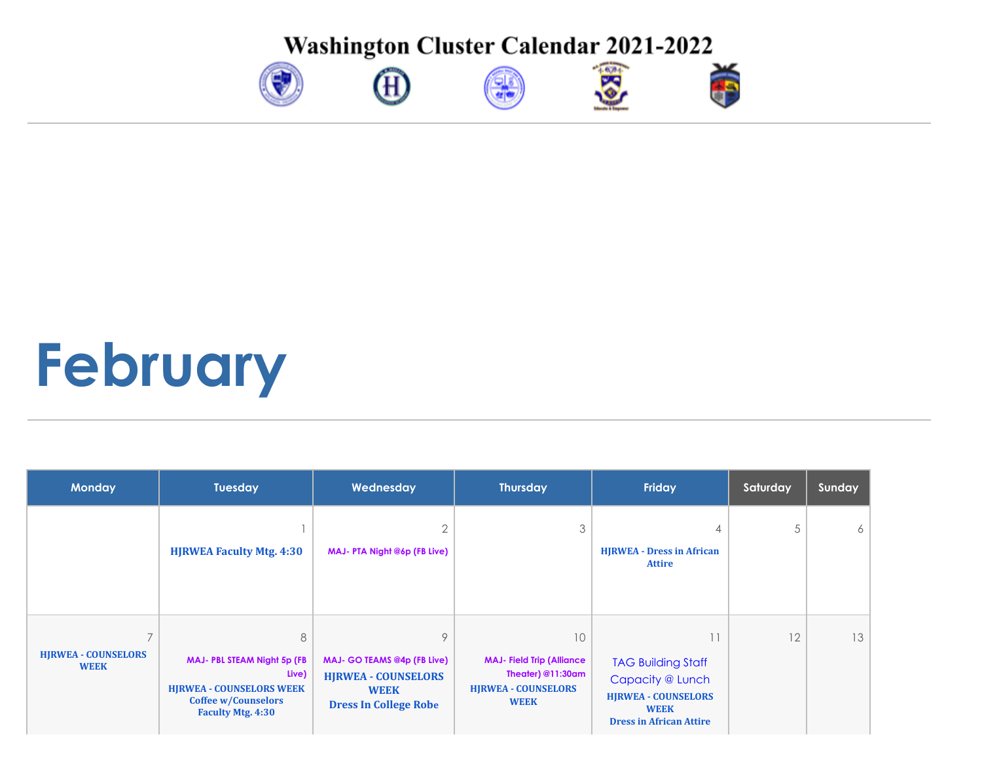









# **February**

| <b>Monday</b>                             | Tuesday                                                                                                                                       | Wednesday                                                                                                           | <b>Thursday</b>                                                                                                         | Friday                                                                                                                       | Saturday | Sunday |
|-------------------------------------------|-----------------------------------------------------------------------------------------------------------------------------------------------|---------------------------------------------------------------------------------------------------------------------|-------------------------------------------------------------------------------------------------------------------------|------------------------------------------------------------------------------------------------------------------------------|----------|--------|
|                                           | <b>HJRWEA Faculty Mtg. 4:30</b>                                                                                                               | $\overline{2}$<br>MAJ- PTA Night @6p (FB Live)                                                                      | 3                                                                                                                       | <b>HJRWEA - Dress in African</b><br><b>Attire</b>                                                                            | 5        | 6      |
| <b>HIRWEA - COUNSELORS</b><br><b>WEEK</b> | 8<br><b>MAJ- PBL STEAM Night 5p (FB</b><br>Live)<br><b>HIRWEA - COUNSELORS WEEK</b><br><b>Coffee w/Counselors</b><br><b>Faculty Mtg. 4:30</b> | $\circ$<br>MAJ- GO TEAMS @4p (FB Live)<br><b>HJRWEA - COUNSELORS</b><br><b>WEEK</b><br><b>Dress In College Robe</b> | 10 <sup>°</sup><br><b>MAJ- Field Trip (Alliance</b><br>Theater) $@11:30am$<br><b>HIRWEA - COUNSELORS</b><br><b>WEEK</b> | <b>TAG Building Staff</b><br>Capacity @ Lunch<br><b>HJRWEA - COUNSELORS</b><br><b>WEEK</b><br><b>Dress in African Attire</b> | 12       | 13     |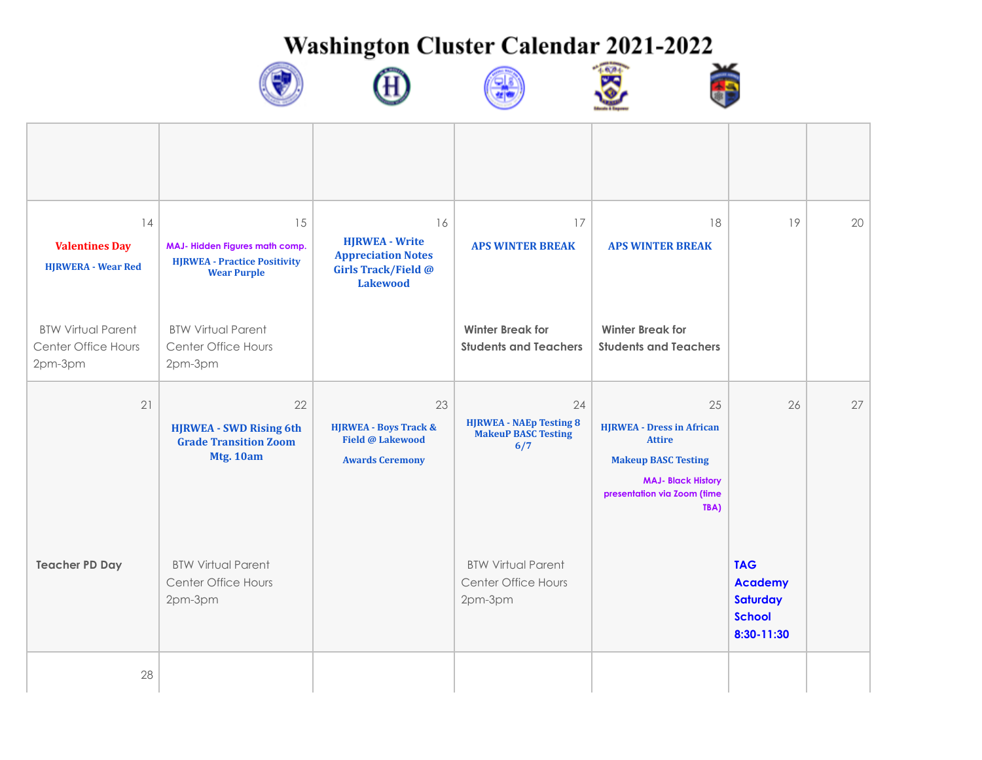









| 14<br><b>Valentines Day</b><br><b>HJRWERA - Wear Red</b>    | 15<br>MAJ- Hidden Figures math comp.<br><b>HJRWEA - Practice Positivity</b><br><b>Wear Purple</b> | 16<br><b>HJRWEA - Write</b><br><b>Appreciation Notes</b><br>Girls Track/Field @<br><b>Lakewood</b> | 17<br><b>APS WINTER BREAK</b>                                             | 18<br><b>APS WINTER BREAK</b>                                                                                                                             | 19                                                                             | 20 |
|-------------------------------------------------------------|---------------------------------------------------------------------------------------------------|----------------------------------------------------------------------------------------------------|---------------------------------------------------------------------------|-----------------------------------------------------------------------------------------------------------------------------------------------------------|--------------------------------------------------------------------------------|----|
| <b>BTW Virtual Parent</b><br>Center Office Hours<br>2pm-3pm | <b>BTW Virtual Parent</b><br>Center Office Hours<br>2pm-3pm                                       |                                                                                                    | <b>Winter Break for</b><br><b>Students and Teachers</b>                   | <b>Winter Break for</b><br><b>Students and Teachers</b>                                                                                                   |                                                                                |    |
| 21                                                          | 22<br><b>HJRWEA - SWD Rising 6th</b><br><b>Grade Transition Zoom</b><br>Mtg. 10am                 | 23<br><b>HJRWEA - Boys Track &amp;</b><br>Field @ Lakewood<br><b>Awards Ceremony</b>               | 24<br><b>HJRWEA - NAEp Testing 8</b><br><b>MakeuP BASC Testing</b><br>6/7 | 25<br><b>HJRWEA - Dress in African</b><br><b>Attire</b><br><b>Makeup BASC Testing</b><br><b>MAJ- Black History</b><br>presentation via Zoom (time<br>TBA) | 26                                                                             | 27 |
| <b>Teacher PD Day</b>                                       | <b>BTW Virtual Parent</b><br>Center Office Hours<br>2pm-3pm                                       |                                                                                                    | <b>BTW Virtual Parent</b><br>Center Office Hours<br>2pm-3pm               |                                                                                                                                                           | <b>TAG</b><br><b>Academy</b><br><b>Saturday</b><br><b>School</b><br>8:30-11:30 |    |
| 28                                                          |                                                                                                   |                                                                                                    |                                                                           |                                                                                                                                                           |                                                                                |    |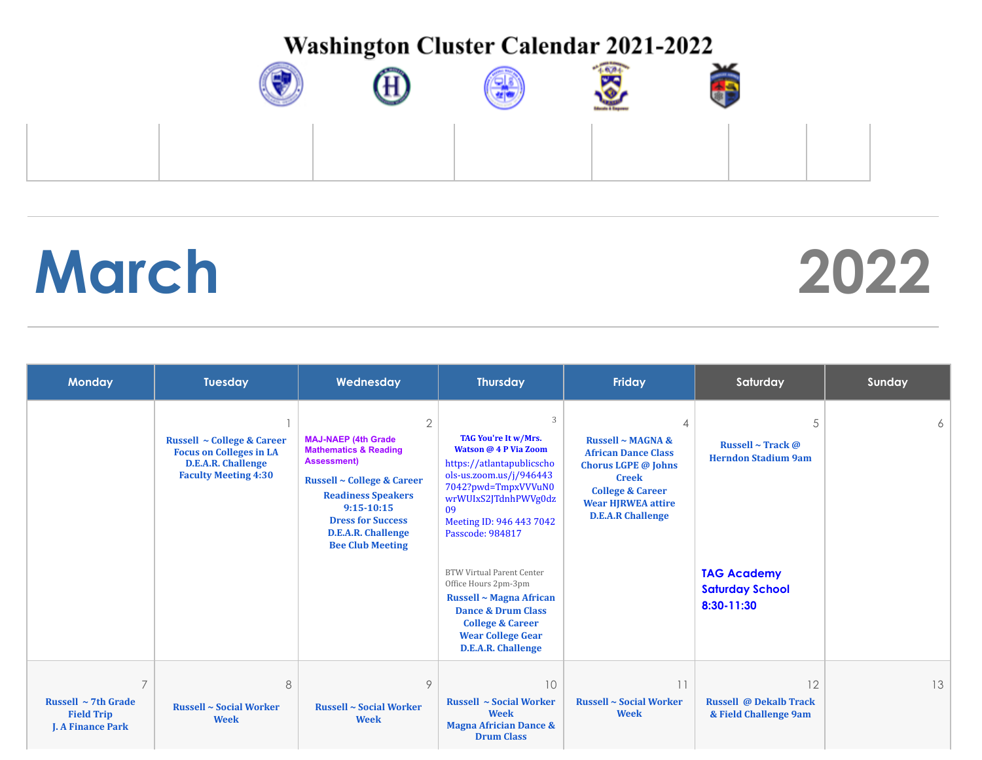







## **March 2022**

| <b>Monday</b>                                                                               | Tuesday                                                                                                                             | Wednesday                                                                                                                                                                                                                                                                         | <b>Thursday</b>                                                                                                                                                                                                                                                                                                                                                                                                                 | Friday                                                                                                                                                                                           | Saturday                                                                                                                  | Sunday |
|---------------------------------------------------------------------------------------------|-------------------------------------------------------------------------------------------------------------------------------------|-----------------------------------------------------------------------------------------------------------------------------------------------------------------------------------------------------------------------------------------------------------------------------------|---------------------------------------------------------------------------------------------------------------------------------------------------------------------------------------------------------------------------------------------------------------------------------------------------------------------------------------------------------------------------------------------------------------------------------|--------------------------------------------------------------------------------------------------------------------------------------------------------------------------------------------------|---------------------------------------------------------------------------------------------------------------------------|--------|
|                                                                                             | <b>Russell ~ College &amp; Career</b><br><b>Focus on Colleges in LA</b><br><b>D.E.A.R. Challenge</b><br><b>Faculty Meeting 4:30</b> | $\overline{2}$<br><b>MAJ-NAEP (4th Grade)</b><br><b>Mathematics &amp; Reading</b><br><b>Assessment)</b><br><b>Russell ~ College &amp; Career</b><br><b>Readiness Speakers</b><br>$9:15-10:15$<br><b>Dress for Success</b><br><b>D.E.A.R. Challenge</b><br><b>Bee Club Meeting</b> | 3<br>TAG You're It w/Mrs.<br>Watson @ 4 P Via Zoom<br>https://atlantapublicscho<br>ols-us.zoom.us/j/946443<br>7042?pwd=TmpxVVVuN0<br>wrWUIxS2JTdnhPWVg0dz<br>09<br>Meeting ID: 946 443 7042<br>Passcode: 984817<br><b>BTW Virtual Parent Center</b><br>Office Hours 2pm-3pm<br>Russell ~ Magna African<br><b>Dance &amp; Drum Class</b><br><b>College &amp; Career</b><br><b>Wear College Gear</b><br><b>D.E.A.R. Challenge</b> | <b>Russell ~ MAGNA &amp;</b><br><b>African Dance Class</b><br><b>Chorus LGPE @ Johns</b><br><b>Creek</b><br><b>College &amp; Career</b><br><b>Wear HIRWEA attire</b><br><b>D.E.A.R Challenge</b> | 5<br>Russell ~ Track $\omega$<br><b>Herndon Stadium 9am</b><br><b>TAG Academy</b><br><b>Saturday School</b><br>8:30-11:30 | 6      |
| $\overline{7}$<br>Russell $\sim$ 7th Grade<br><b>Field Trip</b><br><b>J. A Finance Park</b> | 8<br><b>Russell ~ Social Worker</b><br><b>Week</b>                                                                                  | 9<br><b>Russell ~ Social Worker</b><br><b>Week</b>                                                                                                                                                                                                                                | 10<br><b>Russell ~ Social Worker</b><br><b>Week</b><br><b>Magna Africian Dance &amp;</b><br><b>Drum Class</b>                                                                                                                                                                                                                                                                                                                   | 11<br><b>Russell ~ Social Worker</b><br>Week                                                                                                                                                     | 12<br><b>Russell @ Dekalb Track</b><br>& Field Challenge 9am                                                              | 13     |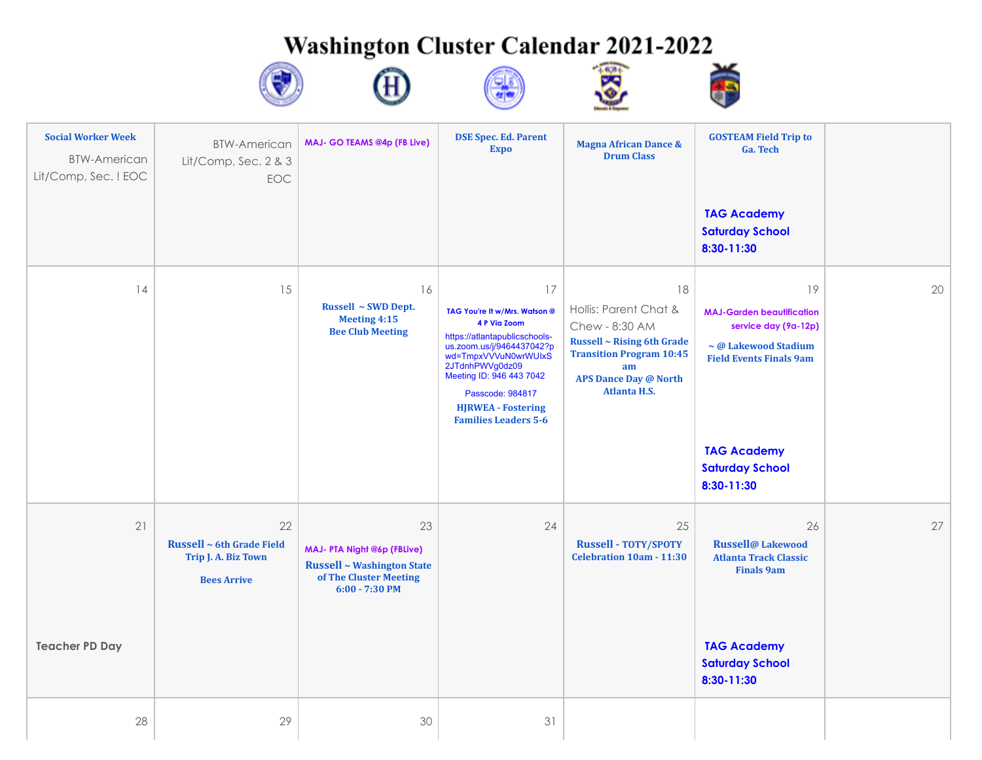









| <b>Social Worker Week</b><br><b>BTW-American</b><br>Lit/Comp, Sec. ! EOC | <b>BTW-American</b><br>Lit/Comp, Sec. 2 & 3<br>EOC                           | MAJ- GO TEAMS @4p (FB Live)                                                                                          | <b>DSE Spec. Ed. Parent</b><br><b>Expo</b>                                                                                                                                                                                                                               | <b>Magna African Dance &amp;</b><br><b>Drum Class</b>                                                                                                                              | <b>GOSTEAM Field Trip to</b><br><b>Ga. Tech</b><br><b>TAG Academy</b><br><b>Saturday School</b><br>8:30-11:30                                                                          |    |
|--------------------------------------------------------------------------|------------------------------------------------------------------------------|----------------------------------------------------------------------------------------------------------------------|--------------------------------------------------------------------------------------------------------------------------------------------------------------------------------------------------------------------------------------------------------------------------|------------------------------------------------------------------------------------------------------------------------------------------------------------------------------------|----------------------------------------------------------------------------------------------------------------------------------------------------------------------------------------|----|
| 14                                                                       | 15                                                                           | 16<br>Russell ~ SWD Dept.<br>Meeting 4:15<br><b>Bee Club Meeting</b>                                                 | 17<br>TAG You're It w/Mrs. Watson @<br>4 P Via Zoom<br>https://atlantapublicschools-<br>us.zoom.us/j/9464437042?p<br>wd=TmpxVVVuN0wrWUlxS<br>2JTdnhPWVg0dz09<br>Meeting ID: 946 443 7042<br>Passcode: 984817<br><b>HJRWEA - Fostering</b><br><b>Families Leaders 5-6</b> | 18<br>Hollis: Parent Chat &<br>Chew - 8:30 AM<br><b>Russell ~ Rising 6th Grade</b><br><b>Transition Program 10:45</b><br>am<br><b>APS Dance Day @ North</b><br><b>Atlanta H.S.</b> | 19<br><b>MAJ-Garden beautification</b><br>service day (9a-12p)<br>~ @ Lakewood Stadium<br><b>Field Events Finals 9am</b><br><b>TAG Academy</b><br><b>Saturday School</b><br>8:30-11:30 | 20 |
| 21<br><b>Teacher PD Day</b>                                              | 22<br>Russell ~ 6th Grade Field<br>Trip J. A. Biz Town<br><b>Bees Arrive</b> | 23<br>MAJ- PTA Night @6p (FBLive)<br><b>Russell ~ Washington State</b><br>of The Cluster Meeting<br>$6:00 - 7:30$ PM | 24                                                                                                                                                                                                                                                                       | 25<br><b>Russell - TOTY/SPOTY</b><br><b>Celebration 10am - 11:30</b>                                                                                                               | 26<br><b>Russell@ Lakewood</b><br><b>Atlanta Track Classic</b><br><b>Finals 9am</b><br><b>TAG Academy</b><br><b>Saturday School</b><br>8:30-11:30                                      | 27 |
|                                                                          |                                                                              |                                                                                                                      |                                                                                                                                                                                                                                                                          |                                                                                                                                                                                    |                                                                                                                                                                                        |    |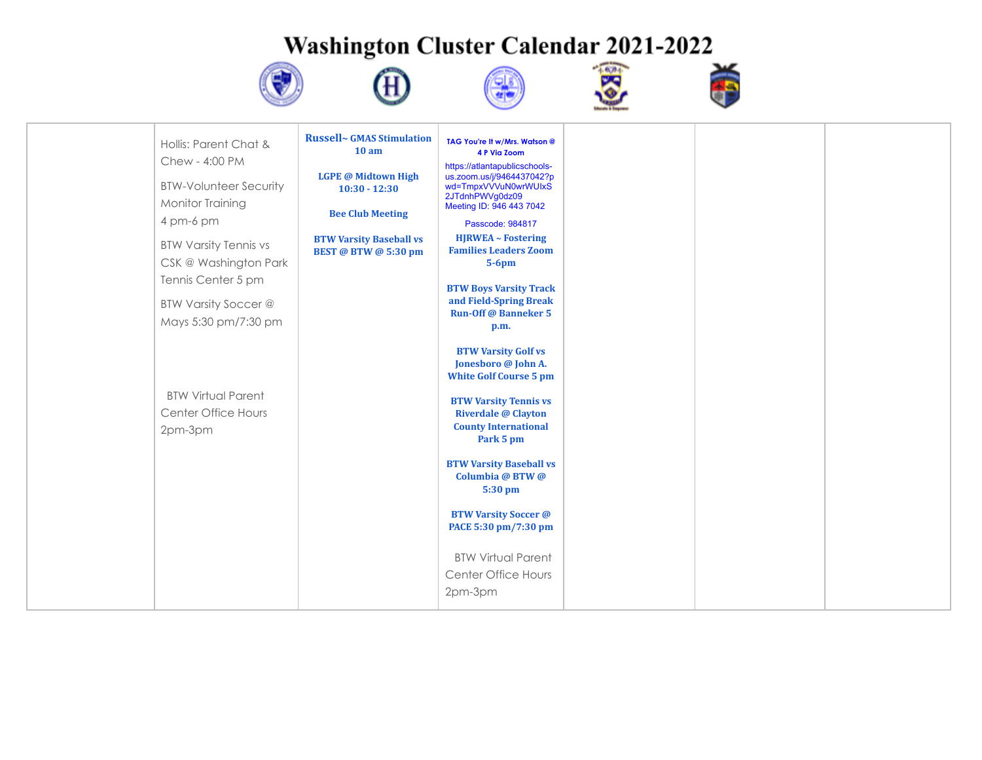蝉





(F)





| Hollis: Parent Chat &<br>Chew - 4:00 PM<br><b>BTW-Volunteer Security</b><br>Monitor Training<br>4 pm-6 pm<br><b>BTW Varsity Tennis vs</b><br>CSK @ Washington Park<br>Tennis Center 5 pm<br><b>BTW Varsity Soccer @</b><br>Mays 5:30 pm/7:30 pm<br><b>BTW Virtual Parent</b><br>Center Office Hours<br>2pm-3pm | <b>Russell~ GMAS Stimulation</b><br>10 <sub>am</sub><br><b>LGPE @ Midtown High</b><br>$10:30 - 12:30$<br><b>Bee Club Meeting</b><br><b>BTW Varsity Baseball vs</b><br><b>BEST @ BTW @ 5:30 pm</b> | TAG You're It w/Mrs. Watson @<br>4 P Via Zoom<br>https://atlantapublicschools-<br>us.zoom.us/j/9464437042?p<br>wd=TmpxVVVuN0wrWUlxS<br>2JTdnhPWVg0dz09<br>Meeting ID: 946 443 7042<br>Passcode: 984817<br><b>HJRWEA</b> ~ Fostering<br><b>Families Leaders Zoom</b><br>$5-6pm$<br><b>BTW Boys Varsity Track</b><br>and Field-Spring Break<br><b>Run-Off @ Banneker 5</b><br>p.m.<br><b>BTW Varsity Golf vs</b><br>Jonesboro @ John A.<br><b>White Golf Course 5 pm</b><br><b>BTW Varsity Tennis vs</b><br><b>Riverdale @ Clayton</b><br><b>County International</b><br>Park 5 pm<br><b>BTW Varsity Baseball vs</b><br>Columbia @ BTW @<br>$5:30$ pm<br><b>BTW Varsity Soccer @</b><br>PACE 5:30 pm/7:30 pm<br><b>BTW Virtual Parent</b><br>Center Office Hours<br>2pm-3pm |  |  |
|----------------------------------------------------------------------------------------------------------------------------------------------------------------------------------------------------------------------------------------------------------------------------------------------------------------|---------------------------------------------------------------------------------------------------------------------------------------------------------------------------------------------------|---------------------------------------------------------------------------------------------------------------------------------------------------------------------------------------------------------------------------------------------------------------------------------------------------------------------------------------------------------------------------------------------------------------------------------------------------------------------------------------------------------------------------------------------------------------------------------------------------------------------------------------------------------------------------------------------------------------------------------------------------------------------------|--|--|
|                                                                                                                                                                                                                                                                                                                |                                                                                                                                                                                                   |                                                                                                                                                                                                                                                                                                                                                                                                                                                                                                                                                                                                                                                                                                                                                                           |  |  |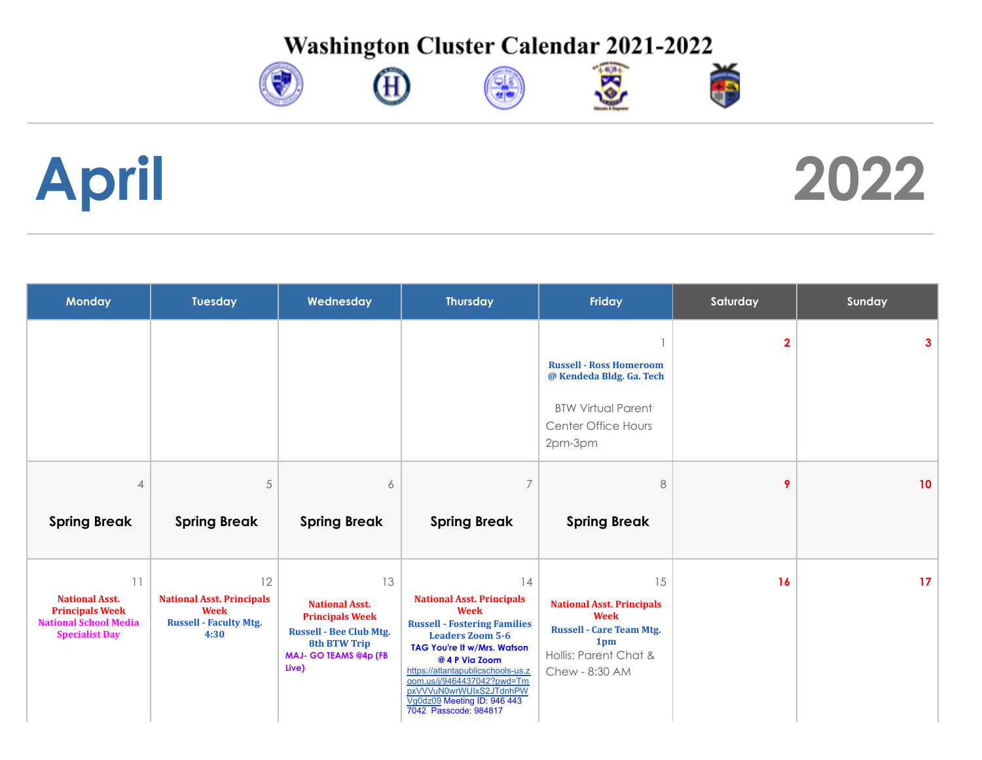









# **April 2022**

| Monday                                                                                                         | <b>Tuesday</b>                                                                                 | Wednesday                                                                                                                                        | <b>Thursday</b>                                                                                                                                                                                                                                                                                                                | Friday                                                                                                                                     | Saturday                | Sunday          |
|----------------------------------------------------------------------------------------------------------------|------------------------------------------------------------------------------------------------|--------------------------------------------------------------------------------------------------------------------------------------------------|--------------------------------------------------------------------------------------------------------------------------------------------------------------------------------------------------------------------------------------------------------------------------------------------------------------------------------|--------------------------------------------------------------------------------------------------------------------------------------------|-------------------------|-----------------|
|                                                                                                                |                                                                                                |                                                                                                                                                  |                                                                                                                                                                                                                                                                                                                                | <b>Russell - Ross Homeroom</b><br>@ Kendeda Bldg. Ga. Tech<br><b>BTW Virtual Parent</b><br>Center Office Hours<br>2pm-3pm                  | $\overline{\mathbf{2}}$ | 3               |
| $\overline{4}$<br><b>Spring Break</b>                                                                          | 5<br><b>Spring Break</b>                                                                       | 6<br><b>Spring Break</b>                                                                                                                         | 7<br><b>Spring Break</b>                                                                                                                                                                                                                                                                                                       | $\,8\,$<br><b>Spring Break</b>                                                                                                             | 9                       | 10              |
| 11<br><b>National Asst.</b><br><b>Principals Week</b><br><b>National School Media</b><br><b>Specialist Day</b> | 12<br><b>National Asst. Principals</b><br><b>Week</b><br><b>Russell - Faculty Mtg.</b><br>4:30 | 13<br><b>National Asst.</b><br><b>Principals Week</b><br><b>Russell - Bee Club Mtg.</b><br>8th BTW Trip<br><b>MAJ- GO TEAMS @4p (FB</b><br>Live) | 14<br><b>National Asst. Principals</b><br><b>Week</b><br><b>Russell - Fostering Families</b><br><b>Leaders Zoom 5-6</b><br>TAG You're It w/Mrs. Watson<br>@ 4 P Via Zoom<br>https://atlantapublicschools-us.z<br>oom.us/j/9464437042?pwd=Tm<br>pxVVVuN0wrWUIxS2JTdnhPW<br>Vg0dz09 Meeting ID: 946 443<br>7042 Passcode: 984817 | 15<br><b>National Asst. Principals</b><br><b>Week</b><br><b>Russell - Care Team Mtg.</b><br>1pm<br>Hollis: Parent Chat &<br>Chew - 8:30 AM | 16                      | 17 <sub>2</sub> |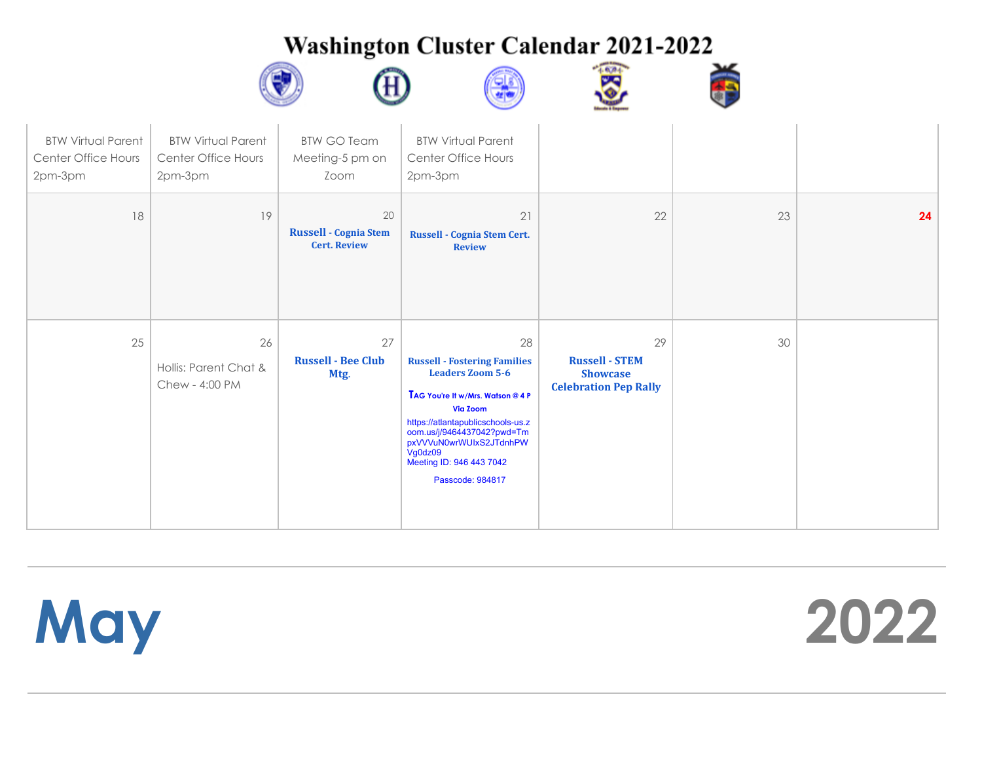

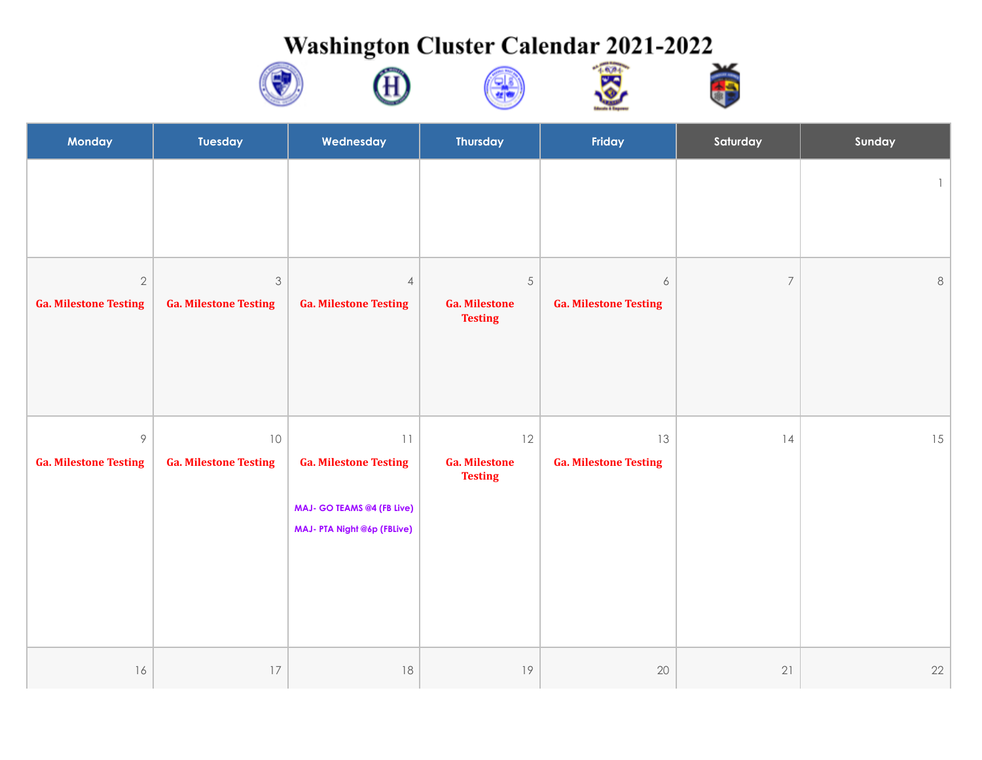









| Monday                       | Tuesday                      | Wednesday                                 | <b>Thursday</b>                        | Friday                       | Saturday                 | Sunday  |
|------------------------------|------------------------------|-------------------------------------------|----------------------------------------|------------------------------|--------------------------|---------|
|                              |                              |                                           |                                        |                              |                          | 1       |
|                              |                              |                                           |                                        |                              |                          |         |
| $\sqrt{2}$                   | $\ensuremath{\mathcal{S}}$   | $\overline{4}$                            | $\,$ $\,$                              | $\boldsymbol{6}$             | $\overline{\mathcal{I}}$ | $\,8\,$ |
| <b>Ga. Milestone Testing</b> | <b>Ga. Milestone Testing</b> | <b>Ga. Milestone Testing</b>              | <b>Ga. Milestone</b><br><b>Testing</b> | <b>Ga. Milestone Testing</b> |                          |         |
|                              |                              |                                           |                                        |                              |                          |         |
|                              |                              |                                           |                                        |                              |                          |         |
| $\circ$                      | $10$                         | $\begin{smallmatrix}1&1\end{smallmatrix}$ | 12                                     | 13                           | 14                       | 15      |
| <b>Ga. Milestone Testing</b> | <b>Ga. Milestone Testing</b> | <b>Ga. Milestone Testing</b>              | <b>Ga. Milestone</b><br><b>Testing</b> | <b>Ga. Milestone Testing</b> |                          |         |
|                              |                              | MAJ- GO TEAMS @4 (FB Live)                |                                        |                              |                          |         |
|                              |                              | MAJ- PTA Night @6p (FBLive)               |                                        |                              |                          |         |
|                              |                              |                                           |                                        |                              |                          |         |
|                              |                              |                                           |                                        |                              |                          |         |
|                              |                              |                                           |                                        |                              |                          |         |
| $16$                         | $17\,$                       | $18\,$                                    | $19$                                   | $20\,$                       | 21                       | 22      |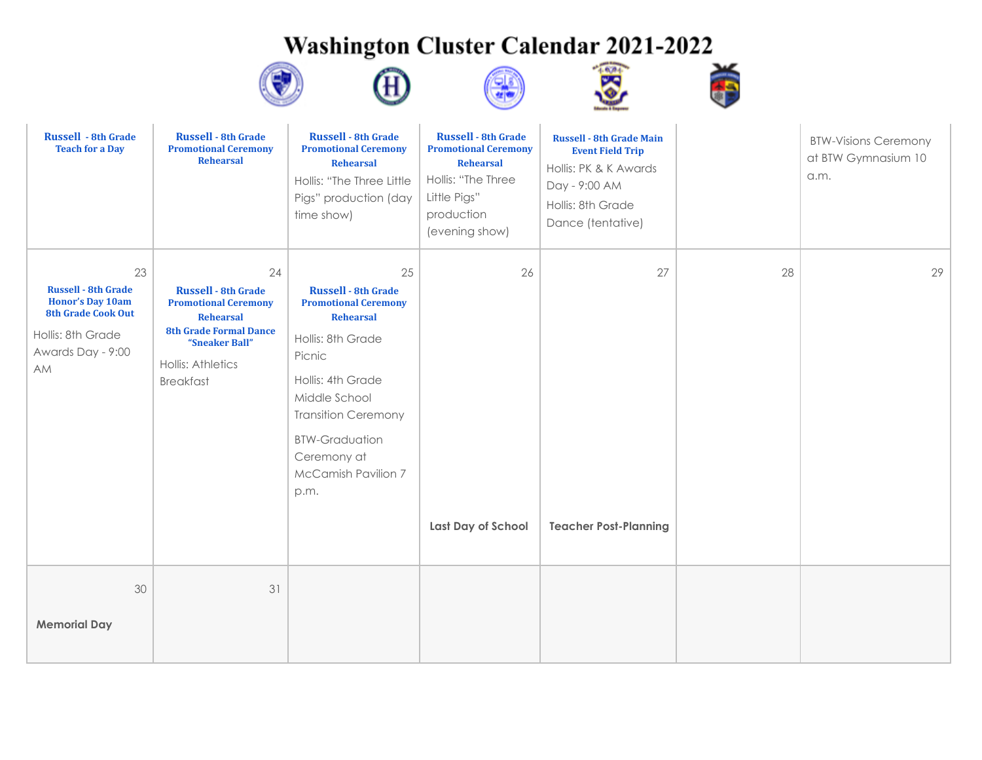







| <b>Russell</b> - 8th Grade<br><b>Teach for a Day</b>                                                                                     | <b>Russell - 8th Grade</b><br><b>Promotional Ceremony</b><br><b>Rehearsal</b>                                                                                                   | <b>Russell - 8th Grade</b><br><b>Promotional Ceremony</b><br><b>Rehearsal</b><br>Hollis: "The Three Little<br>Pigs" production (day<br>time show)                                                                                                             | <b>Russell - 8th Grade</b><br><b>Promotional Ceremony</b><br><b>Rehearsal</b><br>Hollis: "The Three<br>Little Pigs"<br>production<br>(evening show) | <b>Russell - 8th Grade Main</b><br><b>Event Field Trip</b><br>Hollis: PK & K Awards<br>Day - 9:00 AM<br>Hollis: 8th Grade<br>Dance (tentative) |    | <b>BTW-Visions Ceremony</b><br>at BTW Gymnasium 10<br>a.m. |
|------------------------------------------------------------------------------------------------------------------------------------------|---------------------------------------------------------------------------------------------------------------------------------------------------------------------------------|---------------------------------------------------------------------------------------------------------------------------------------------------------------------------------------------------------------------------------------------------------------|-----------------------------------------------------------------------------------------------------------------------------------------------------|------------------------------------------------------------------------------------------------------------------------------------------------|----|------------------------------------------------------------|
| 23<br><b>Russell - 8th Grade</b><br><b>Honor's Day 10am</b><br><b>8th Grade Cook Out</b><br>Hollis: 8th Grade<br>Awards Day - 9:00<br>AM | 24<br><b>Russell - 8th Grade</b><br><b>Promotional Ceremony</b><br>Rehearsal<br><b>8th Grade Formal Dance</b><br>"Sneaker Ball"<br><b>Hollis: Athletics</b><br><b>Breakfast</b> | 25<br><b>Russell - 8th Grade</b><br><b>Promotional Ceremony</b><br><b>Rehearsal</b><br>Hollis: 8th Grade<br>Picnic<br>Hollis: 4th Grade<br>Middle School<br><b>Transition Ceremony</b><br><b>BTW-Graduation</b><br>Ceremony at<br>McCamish Pavilion 7<br>p.m. | 26<br>Last Day of School                                                                                                                            | 27<br><b>Teacher Post-Planning</b>                                                                                                             | 28 | 29                                                         |
| 30<br><b>Memorial Day</b>                                                                                                                | 31                                                                                                                                                                              |                                                                                                                                                                                                                                                               |                                                                                                                                                     |                                                                                                                                                |    |                                                            |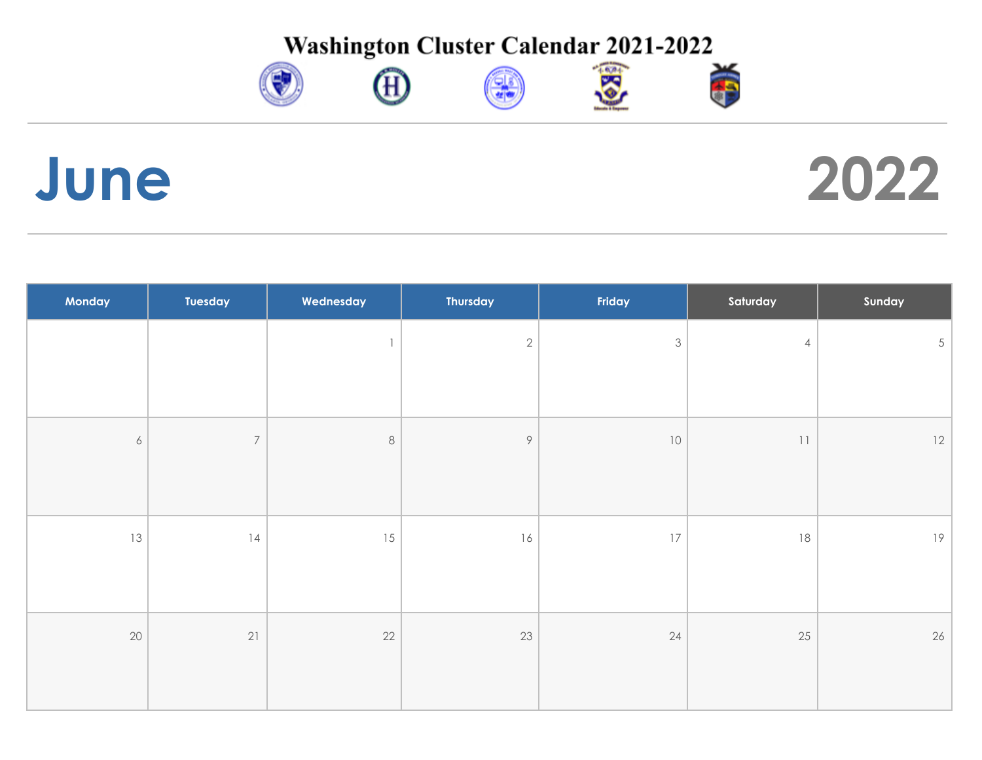









### **June 2022**

| Monday           | Tuesday                  | Wednesday | Thursday       | Friday         | Saturday                         | Sunday          |
|------------------|--------------------------|-----------|----------------|----------------|----------------------------------|-----------------|
|                  |                          |           | $\overline{2}$ | $\mathfrak{Z}$ | $\overline{4}$                   | $5\phantom{.0}$ |
|                  |                          |           |                |                |                                  |                 |
| $\acute{\rm{o}}$ | $\overline{\mathcal{I}}$ | $\,8\,$   | $\circ$        | $10$           | $\ensuremath{\mathsf{1}}\xspace$ | 12              |
|                  |                          |           |                |                |                                  |                 |
| 13               | 4                        | 15        | 16             | 17             | 18                               | 19              |
|                  |                          |           |                |                |                                  |                 |
| 20               | 21                       | $22\,$    | 23             | 24             | 25                               | 26              |
|                  |                          |           |                |                |                                  |                 |